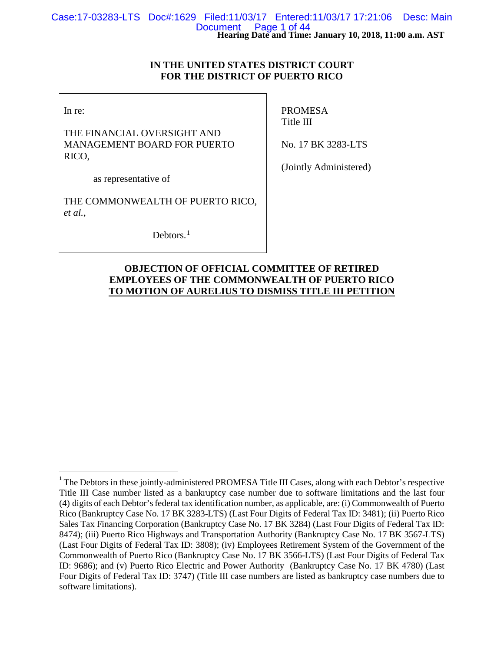## **IN THE UNITED STATES DISTRICT COURT FOR THE DISTRICT OF PUERTO RICO**

In re:

THE FINANCIAL OVERSIGHT AND MANAGEMENT BOARD FOR PUERTO RICO,

PROMESA Title III

No. 17 BK 3283-LTS

as representative of

THE COMMONWEALTH OF PUERTO RICO, *et al.*,

Debtors. $<sup>1</sup>$  $<sup>1</sup>$  $<sup>1</sup>$ </sup>

(Jointly Administered)

## **OBJECTION OF OFFICIAL COMMITTEE OF RETIRED EMPLOYEES OF THE COMMONWEALTH OF PUERTO RICO TO MOTION OF AURELIUS TO DISMISS TITLE III PETITION**

<span id="page-0-0"></span> $\frac{1}{1}$  $1$ <sup>1</sup> The Debtors in these jointly-administered PROMESA Title III Cases, along with each Debtor's respective Title III Case number listed as a bankruptcy case number due to software limitations and the last four (4) digits of each Debtor's federal tax identification number, as applicable, are: (i) Commonwealth of Puerto Rico (Bankruptcy Case No. 17 BK 3283-LTS) (Last Four Digits of Federal Tax ID: 3481); (ii) Puerto Rico Sales Tax Financing Corporation (Bankruptcy Case No. 17 BK 3284) (Last Four Digits of Federal Tax ID: 8474); (iii) Puerto Rico Highways and Transportation Authority (Bankruptcy Case No. 17 BK 3567-LTS) (Last Four Digits of Federal Tax ID: 3808); (iv) Employees Retirement System of the Government of the Commonwealth of Puerto Rico (Bankruptcy Case No. 17 BK 3566-LTS) (Last Four Digits of Federal Tax ID: 9686); and (v) Puerto Rico Electric and Power Authority (Bankruptcy Case No. 17 BK 4780) (Last Four Digits of Federal Tax ID: 3747) (Title III case numbers are listed as bankruptcy case numbers due to software limitations).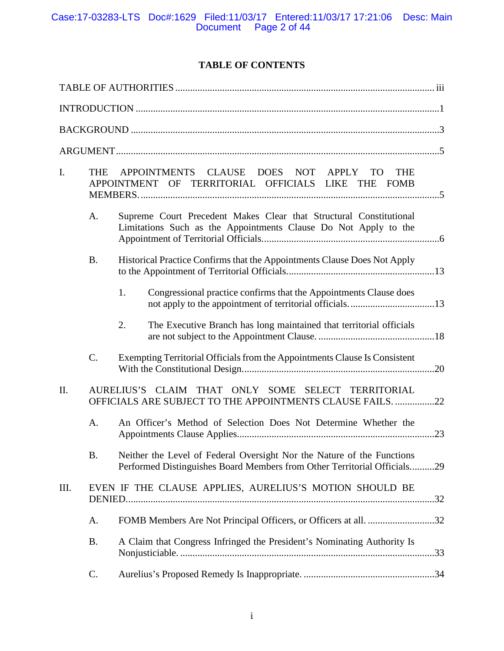# **TABLE OF CONTENTS**

| I.   | <b>THE</b> | APPOINTMENTS CLAUSE<br>DOES NOT<br>APPLY<br><b>TO</b><br><b>THE</b><br>APPOINTMENT OF TERRITORIAL OFFICIALS LIKE THE FOMB |                                                                                                                                                    |  |
|------|------------|---------------------------------------------------------------------------------------------------------------------------|----------------------------------------------------------------------------------------------------------------------------------------------------|--|
|      | A.         |                                                                                                                           | Supreme Court Precedent Makes Clear that Structural Constitutional<br>Limitations Such as the Appointments Clause Do Not Apply to the              |  |
|      | <b>B.</b>  |                                                                                                                           | Historical Practice Confirms that the Appointments Clause Does Not Apply                                                                           |  |
|      |            | 1.                                                                                                                        | Congressional practice confirms that the Appointments Clause does                                                                                  |  |
|      |            | 2.                                                                                                                        | The Executive Branch has long maintained that territorial officials                                                                                |  |
|      | $C$ .      |                                                                                                                           | Exempting Territorial Officials from the Appointments Clause Is Consistent                                                                         |  |
| II.  |            |                                                                                                                           | AURELIUS'S CLAIM<br>THAT ONLY SOME SELECT TERRITORIAL<br>OFFICIALS ARE SUBJECT TO THE APPOINTMENTS CLAUSE FAILS. 22                                |  |
|      | A.         |                                                                                                                           | An Officer's Method of Selection Does Not Determine Whether the                                                                                    |  |
|      | <b>B.</b>  |                                                                                                                           | Neither the Level of Federal Oversight Nor the Nature of the Functions<br>Performed Distinguishes Board Members from Other Territorial Officials29 |  |
| III. |            |                                                                                                                           | EVEN IF THE CLAUSE APPLIES, AURELIUS'S MOTION SHOULD BE                                                                                            |  |
|      | Α.         |                                                                                                                           | FOMB Members Are Not Principal Officers, or Officers at all. 32                                                                                    |  |
|      | <b>B.</b>  |                                                                                                                           | A Claim that Congress Infringed the President's Nominating Authority Is                                                                            |  |
|      | C.         |                                                                                                                           |                                                                                                                                                    |  |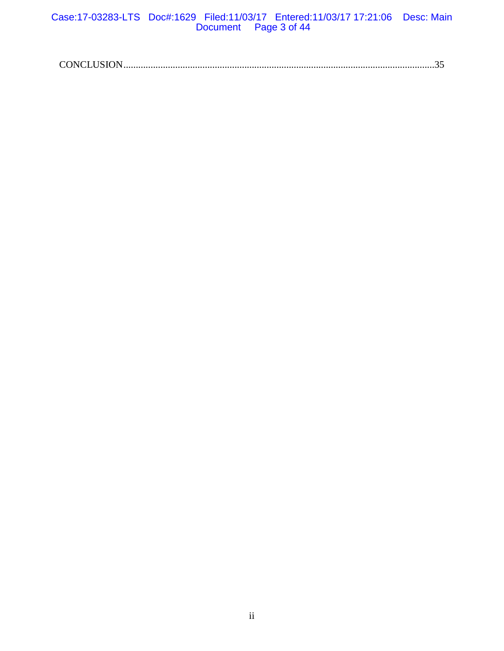## Case:17-03283-LTS Doc#:1629 Filed:11/03/17 Entered:11/03/17 17:21:06 Desc: Main Document Page 3 of 44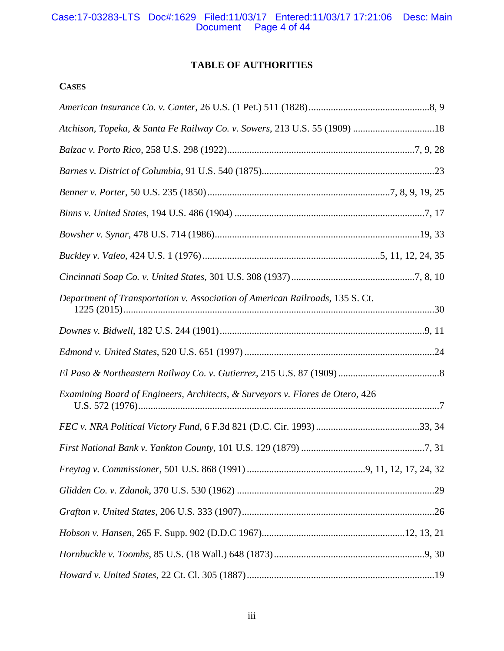## Case:17-03283-LTS Doc#:1629 Filed:11/03/17 Entered:11/03/17 17:21:06 Desc: Main Document Page 4 of 44

# **TABLE OF AUTHORITIES**

# **CASES**

| Atchison, Topeka, & Santa Fe Railway Co. v. Sowers, 213 U.S. 55 (1909) 18     |  |
|-------------------------------------------------------------------------------|--|
|                                                                               |  |
|                                                                               |  |
|                                                                               |  |
|                                                                               |  |
|                                                                               |  |
|                                                                               |  |
|                                                                               |  |
| Department of Transportation v. Association of American Railroads, 135 S. Ct. |  |
|                                                                               |  |
|                                                                               |  |
|                                                                               |  |
| Examining Board of Engineers, Architects, & Surveyors v. Flores de Otero, 426 |  |
|                                                                               |  |
|                                                                               |  |
|                                                                               |  |
|                                                                               |  |
|                                                                               |  |
|                                                                               |  |
|                                                                               |  |
|                                                                               |  |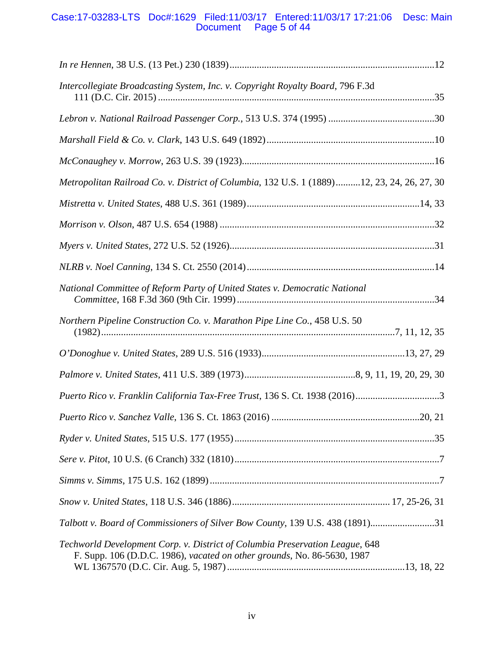## Case:17-03283-LTS Doc#:1629 Filed:11/03/17 Entered:11/03/17 17:21:06 Desc: Main Document Page 5 of 44

| Intercollegiate Broadcasting System, Inc. v. Copyright Royalty Board, 796 F.3d                                                                          |  |
|---------------------------------------------------------------------------------------------------------------------------------------------------------|--|
|                                                                                                                                                         |  |
|                                                                                                                                                         |  |
|                                                                                                                                                         |  |
| Metropolitan Railroad Co. v. District of Columbia, 132 U.S. 1 (1889)12, 23, 24, 26, 27, 30                                                              |  |
|                                                                                                                                                         |  |
|                                                                                                                                                         |  |
|                                                                                                                                                         |  |
|                                                                                                                                                         |  |
| National Committee of Reform Party of United States v. Democratic National                                                                              |  |
| Northern Pipeline Construction Co. v. Marathon Pipe Line Co., 458 U.S. 50                                                                               |  |
|                                                                                                                                                         |  |
|                                                                                                                                                         |  |
| Puerto Rico v. Franklin California Tax-Free Trust, 136 S. Ct. 1938 (2016)3                                                                              |  |
|                                                                                                                                                         |  |
|                                                                                                                                                         |  |
|                                                                                                                                                         |  |
|                                                                                                                                                         |  |
|                                                                                                                                                         |  |
| Talbott v. Board of Commissioners of Silver Bow County, 139 U.S. 438 (1891)31                                                                           |  |
| Techworld Development Corp. v. District of Columbia Preservation League, 648<br>F. Supp. 106 (D.D.C. 1986), vacated on other grounds, No. 86-5630, 1987 |  |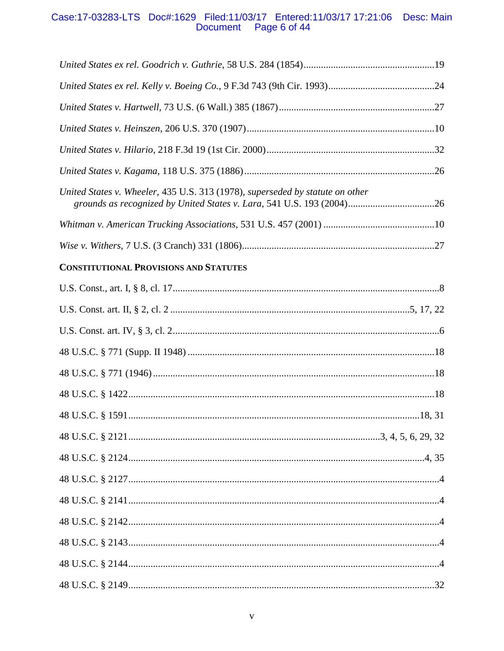# Case:17-03283-LTS Doc#:1629 Filed:11/03/17 Entered:11/03/17 17:21:06 Desc: Main<br>Document Page 6 of 44

| United States v. Wheeler, 435 U.S. 313 (1978), superseded by statute on other<br>grounds as recognized by United States v. Lara, 541 U.S. 193 (2004)26 |  |
|--------------------------------------------------------------------------------------------------------------------------------------------------------|--|
|                                                                                                                                                        |  |
|                                                                                                                                                        |  |
| <b>CONSTITUTIONAL PROVISIONS AND STATUTES</b>                                                                                                          |  |
|                                                                                                                                                        |  |
|                                                                                                                                                        |  |
|                                                                                                                                                        |  |
|                                                                                                                                                        |  |
|                                                                                                                                                        |  |
|                                                                                                                                                        |  |
|                                                                                                                                                        |  |
|                                                                                                                                                        |  |
|                                                                                                                                                        |  |
|                                                                                                                                                        |  |
|                                                                                                                                                        |  |
|                                                                                                                                                        |  |
|                                                                                                                                                        |  |
|                                                                                                                                                        |  |
|                                                                                                                                                        |  |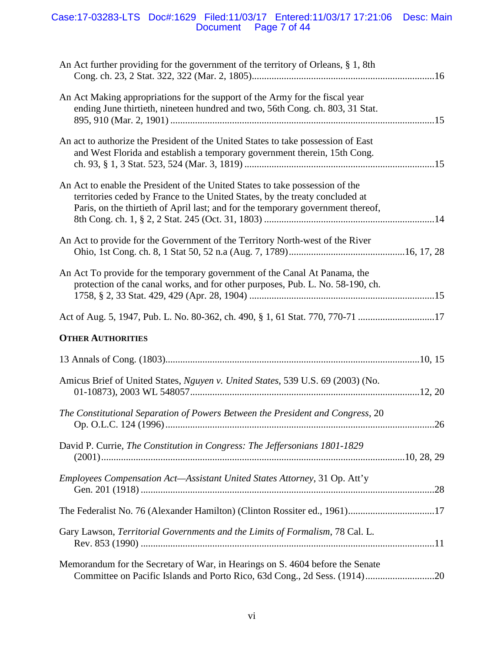## Case:17-03283-LTS Doc#:1629 Filed:11/03/17 Entered:11/03/17 17:21:06 Desc: Main Document Page 7 of 44

| An Act further providing for the government of the territory of Orleans, § 1, 8th                                                                                                                                                                 |  |
|---------------------------------------------------------------------------------------------------------------------------------------------------------------------------------------------------------------------------------------------------|--|
| An Act Making appropriations for the support of the Army for the fiscal year<br>ending June thirtieth, nineteen hundred and two, 56th Cong. ch. 803, 31 Stat.                                                                                     |  |
| An act to authorize the President of the United States to take possession of East<br>and West Florida and establish a temporary government therein, 15th Cong.                                                                                    |  |
| An Act to enable the President of the United States to take possession of the<br>territories ceded by France to the United States, by the treaty concluded at<br>Paris, on the thirtieth of April last; and for the temporary government thereof, |  |
| An Act to provide for the Government of the Territory North-west of the River                                                                                                                                                                     |  |
| An Act To provide for the temporary government of the Canal At Panama, the<br>protection of the canal works, and for other purposes, Pub. L. No. 58-190, ch.                                                                                      |  |
| Act of Aug. 5, 1947, Pub. L. No. 80-362, ch. 490, § 1, 61 Stat. 770, 770-71 17                                                                                                                                                                    |  |
| <b>OTHER AUTHORITIES</b>                                                                                                                                                                                                                          |  |
|                                                                                                                                                                                                                                                   |  |
| Amicus Brief of United States, Nguyen v. United States, 539 U.S. 69 (2003) (No.                                                                                                                                                                   |  |
| The Constitutional Separation of Powers Between the President and Congress, 20                                                                                                                                                                    |  |
| David P. Currie, The Constitution in Congress: The Jeffersonians 1801-1829                                                                                                                                                                        |  |
| Employees Compensation Act-Assistant United States Attorney, 31 Op. Att'y                                                                                                                                                                         |  |
| The Federalist No. 76 (Alexander Hamilton) (Clinton Rossiter ed., 1961)17                                                                                                                                                                         |  |
| Gary Lawson, Territorial Governments and the Limits of Formalism, 78 Cal. L.                                                                                                                                                                      |  |
| Memorandum for the Secretary of War, in Hearings on S. 4604 before the Senate<br>Committee on Pacific Islands and Porto Rico, 63d Cong., 2d Sess. (1914)20                                                                                        |  |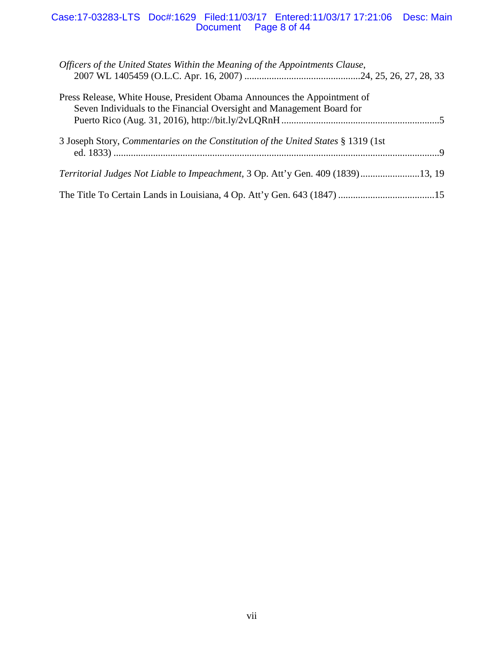## Case:17-03283-LTS Doc#:1629 Filed:11/03/17 Entered:11/03/17 17:21:06 Desc: Main Document Page 8 of 44

| Officers of the United States Within the Meaning of the Appointments Clause,                                                                      |
|---------------------------------------------------------------------------------------------------------------------------------------------------|
| Press Release, White House, President Obama Announces the Appointment of<br>Seven Individuals to the Financial Oversight and Management Board for |
| 3 Joseph Story, Commentaries on the Constitution of the United States § 1319 (1st                                                                 |
| Territorial Judges Not Liable to Impeachment, 3 Op. Att'y Gen. 409 (1839)13, 19                                                                   |
|                                                                                                                                                   |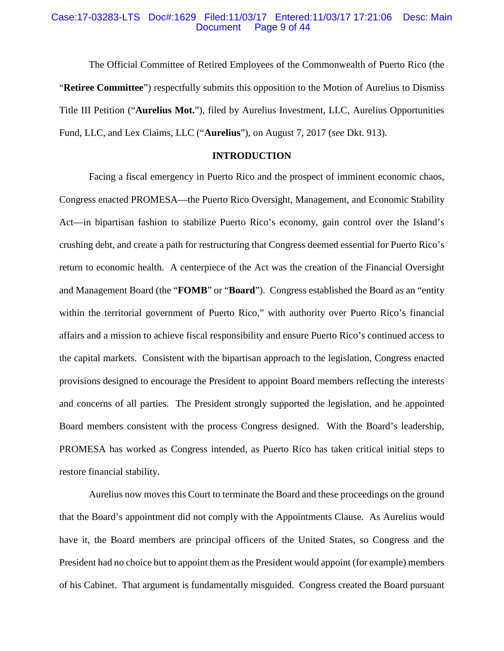#### Case:17-03283-LTS Doc#:1629 Filed:11/03/17 Entered:11/03/17 17:21:06 Desc: Main Page 9 of 44

The Official Committee of Retired Employees of the Commonwealth of Puerto Rico (the "**Retiree Committee**") respectfully submits this opposition to the Motion of Aurelius to Dismiss Title III Petition ("**Aurelius Mot.**"), filed by Aurelius Investment, LLC, Aurelius Opportunities Fund, LLC, and Lex Claims, LLC ("**Aurelius**"), on August 7, 2017 (*see* Dkt. 913).

## **INTRODUCTION**

Facing a fiscal emergency in Puerto Rico and the prospect of imminent economic chaos, Congress enacted PROMESA—the Puerto Rico Oversight, Management, and Economic Stability Act—in bipartisan fashion to stabilize Puerto Rico's economy, gain control over the Island's crushing debt, and create a path for restructuring that Congress deemed essential for Puerto Rico's return to economic health. A centerpiece of the Act was the creation of the Financial Oversight and Management Board (the "**FOMB**" or "**Board**"). Congress established the Board as an "entity within the territorial government of Puerto Rico," with authority over Puerto Rico's financial affairs and a mission to achieve fiscal responsibility and ensure Puerto Rico's continued access to the capital markets. Consistent with the bipartisan approach to the legislation, Congress enacted provisions designed to encourage the President to appoint Board members reflecting the interests and concerns of all parties. The President strongly supported the legislation, and he appointed Board members consistent with the process Congress designed. With the Board's leadership, PROMESA has worked as Congress intended, as Puerto Rico has taken critical initial steps to restore financial stability.

Aurelius now moves this Court to terminate the Board and these proceedings on the ground that the Board's appointment did not comply with the Appointments Clause. As Aurelius would have it, the Board members are principal officers of the United States, so Congress and the President had no choice but to appoint them as the President would appoint (for example) members of his Cabinet. That argument is fundamentally misguided. Congress created the Board pursuant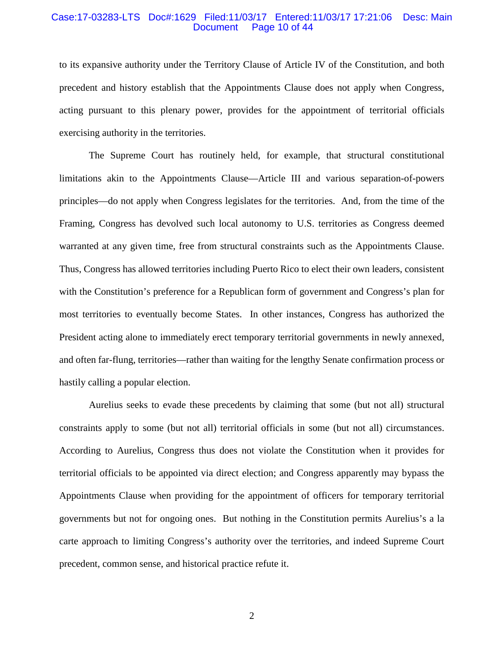#### Case:17-03283-LTS Doc#:1629 Filed:11/03/17 Entered:11/03/17 17:21:06 Desc: Main Document Page 10 of 44

to its expansive authority under the Territory Clause of Article IV of the Constitution, and both precedent and history establish that the Appointments Clause does not apply when Congress, acting pursuant to this plenary power, provides for the appointment of territorial officials exercising authority in the territories.

The Supreme Court has routinely held, for example, that structural constitutional limitations akin to the Appointments Clause—Article III and various separation-of-powers principles—do not apply when Congress legislates for the territories. And, from the time of the Framing, Congress has devolved such local autonomy to U.S. territories as Congress deemed warranted at any given time, free from structural constraints such as the Appointments Clause. Thus, Congress has allowed territories including Puerto Rico to elect their own leaders, consistent with the Constitution's preference for a Republican form of government and Congress's plan for most territories to eventually become States. In other instances, Congress has authorized the President acting alone to immediately erect temporary territorial governments in newly annexed, and often far-flung, territories—rather than waiting for the lengthy Senate confirmation process or hastily calling a popular election.

Aurelius seeks to evade these precedents by claiming that some (but not all) structural constraints apply to some (but not all) territorial officials in some (but not all) circumstances. According to Aurelius, Congress thus does not violate the Constitution when it provides for territorial officials to be appointed via direct election; and Congress apparently may bypass the Appointments Clause when providing for the appointment of officers for temporary territorial governments but not for ongoing ones. But nothing in the Constitution permits Aurelius's a la carte approach to limiting Congress's authority over the territories, and indeed Supreme Court precedent, common sense, and historical practice refute it.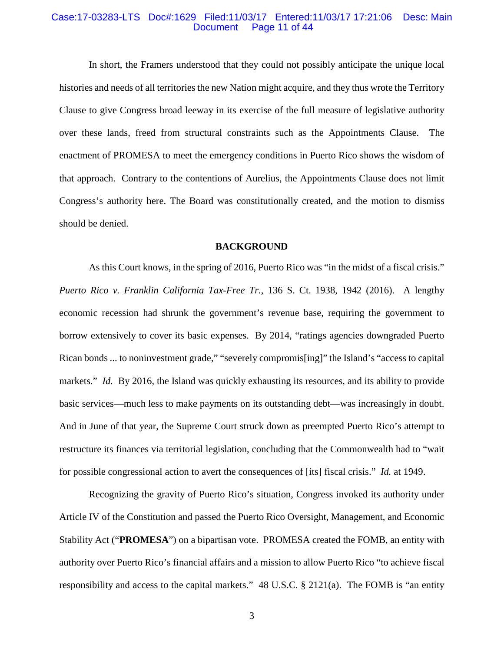#### Case:17-03283-LTS Doc#:1629 Filed:11/03/17 Entered:11/03/17 17:21:06 Desc: Main Page 11 of 44

In short, the Framers understood that they could not possibly anticipate the unique local histories and needs of all territories the new Nation might acquire, and they thus wrote the Territory Clause to give Congress broad leeway in its exercise of the full measure of legislative authority over these lands, freed from structural constraints such as the Appointments Clause. The enactment of PROMESA to meet the emergency conditions in Puerto Rico shows the wisdom of that approach. Contrary to the contentions of Aurelius, the Appointments Clause does not limit Congress's authority here. The Board was constitutionally created, and the motion to dismiss should be denied.

### **BACKGROUND**

As this Court knows, in the spring of 2016, Puerto Rico was "in the midst of a fiscal crisis." *Puerto Rico v. Franklin California Tax-Free Tr.*, 136 S. Ct. 1938, 1942 (2016). A lengthy economic recession had shrunk the government's revenue base, requiring the government to borrow extensively to cover its basic expenses. By 2014, "ratings agencies downgraded Puerto Rican bonds ... to noninvestment grade," "severely compromis[ing]" the Island's "access to capital markets." *Id.* By 2016, the Island was quickly exhausting its resources, and its ability to provide basic services—much less to make payments on its outstanding debt—was increasingly in doubt. And in June of that year, the Supreme Court struck down as preempted Puerto Rico's attempt to restructure its finances via territorial legislation, concluding that the Commonwealth had to "wait for possible congressional action to avert the consequences of [its] fiscal crisis." *Id.* at 1949.

Recognizing the gravity of Puerto Rico's situation, Congress invoked its authority under Article IV of the Constitution and passed the Puerto Rico Oversight, Management, and Economic Stability Act ("**PROMESA**") on a bipartisan vote. PROMESA created the FOMB, an entity with authority over Puerto Rico's financial affairs and a mission to allow Puerto Rico "to achieve fiscal responsibility and access to the capital markets." 48 U.S.C. § 2121(a). The FOMB is "an entity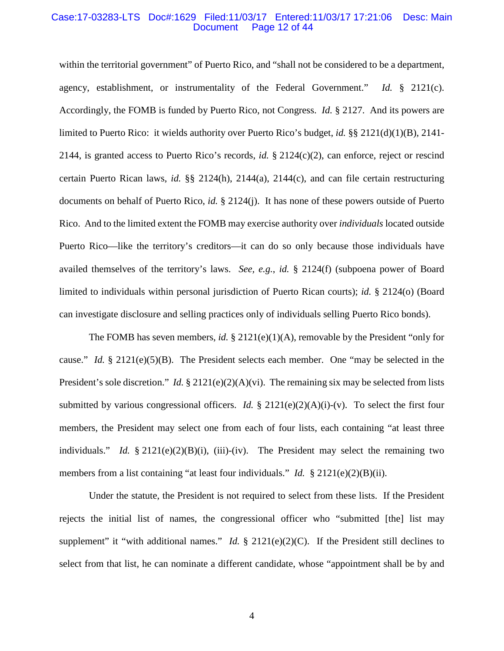#### Case:17-03283-LTS Doc#:1629 Filed:11/03/17 Entered:11/03/17 17:21:06 Desc: Main Page 12 of 44

within the territorial government" of Puerto Rico, and "shall not be considered to be a department, agency, establishment, or instrumentality of the Federal Government." *Id.* § 2121(c). Accordingly, the FOMB is funded by Puerto Rico, not Congress. *Id.* § 2127. And its powers are limited to Puerto Rico: it wields authority over Puerto Rico's budget, *id.* §§ 2121(d)(1)(B), 2141- 2144, is granted access to Puerto Rico's records, *id.* § 2124(c)(2), can enforce, reject or rescind certain Puerto Rican laws, *id.* §§ 2124(h), 2144(a), 2144(c), and can file certain restructuring documents on behalf of Puerto Rico, *id.* § 2124(j). It has none of these powers outside of Puerto Rico. And to the limited extent the FOMB may exercise authority over *individuals* located outside Puerto Rico—like the territory's creditors—it can do so only because those individuals have availed themselves of the territory's laws. *See, e.g.*, *id.* § 2124(f) (subpoena power of Board limited to individuals within personal jurisdiction of Puerto Rican courts); *id.* § 2124(o) (Board can investigate disclosure and selling practices only of individuals selling Puerto Rico bonds).

The FOMB has seven members, *id.*  $\S$  2121(e)(1)(A), removable by the President "only for cause." *Id.* § 2121(e)(5)(B). The President selects each member. One "may be selected in the President's sole discretion." *Id.* § 2121(e)(2)(A)(vi). The remaining six may be selected from lists submitted by various congressional officers. *Id.*  $\S$  2121(e)(2)(A)(i)-(v). To select the first four members, the President may select one from each of four lists, each containing "at least three individuals." *Id.* § 2121(e)(2)(B)(i), (iii)-(iv). The President may select the remaining two members from a list containing "at least four individuals." *Id.* § 2121(e)(2)(B)(ii).

Under the statute, the President is not required to select from these lists. If the President rejects the initial list of names, the congressional officer who "submitted [the] list may supplement" it "with additional names." *Id.* § 2121(e)(2)(C). If the President still declines to select from that list, he can nominate a different candidate, whose "appointment shall be by and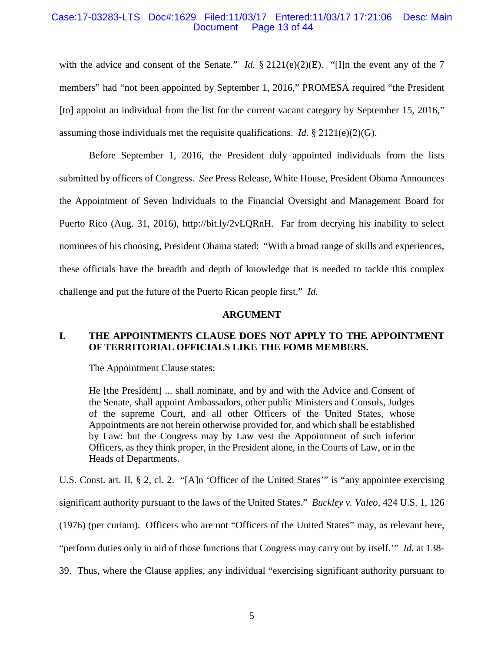## Case:17-03283-LTS Doc#:1629 Filed:11/03/17 Entered:11/03/17 17:21:06 Desc: Main Page 13 of 44

with the advice and consent of the Senate." *Id.* § 2121(e)(2)(E). "[I]n the event any of the 7 members" had "not been appointed by September 1, 2016," PROMESA required "the President [to] appoint an individual from the list for the current vacant category by September 15, 2016," assuming those individuals met the requisite qualifications. *Id.*  $\S 2121(e)(2)(G)$ .

Before September 1, 2016, the President duly appointed individuals from the lists submitted by officers of Congress. *See* Press Release, White House, President Obama Announces the Appointment of Seven Individuals to the Financial Oversight and Management Board for Puerto Rico (Aug. 31, 2016), http://bit.ly/2vLQRnH. Far from decrying his inability to select nominees of his choosing, President Obama stated: "With a broad range of skills and experiences, these officials have the breadth and depth of knowledge that is needed to tackle this complex challenge and put the future of the Puerto Rican people first." *Id.*

#### **ARGUMENT**

## **I. THE APPOINTMENTS CLAUSE DOES NOT APPLY TO THE APPOINTMENT OF TERRITORIAL OFFICIALS LIKE THE FOMB MEMBERS.**

The Appointment Clause states:

He [the President] ... shall nominate, and by and with the Advice and Consent of the Senate, shall appoint Ambassadors, other public Ministers and Consuls, Judges of the supreme Court, and all other Officers of the United States, whose Appointments are not herein otherwise provided for, and which shall be established by Law: but the Congress may by Law vest the Appointment of such inferior Officers, as they think proper, in the President alone, in the Courts of Law, or in the Heads of Departments.

U.S. Const. art. II, § 2, cl. 2. "[A]n 'Officer of the United States'" is "any appointee exercising

significant authority pursuant to the laws of the United States." *Buckley v. Valeo*, 424 U.S. 1, 126

(1976) (per curiam). Officers who are not "Officers of the United States" may, as relevant here,

"perform duties only in aid of those functions that Congress may carry out by itself.'" *Id.* at 138-

39. Thus, where the Clause applies, any individual "exercising significant authority pursuant to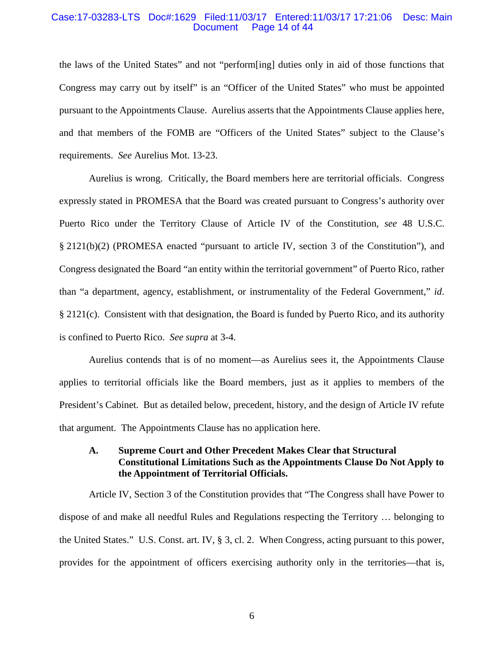#### Case:17-03283-LTS Doc#:1629 Filed:11/03/17 Entered:11/03/17 17:21:06 Desc: Main Page 14 of 44

the laws of the United States" and not "perform[ing] duties only in aid of those functions that Congress may carry out by itself" is an "Officer of the United States" who must be appointed pursuant to the Appointments Clause. Aurelius asserts that the Appointments Clause applies here, and that members of the FOMB are "Officers of the United States" subject to the Clause's requirements. *See* Aurelius Mot. 13-23.

Aurelius is wrong. Critically, the Board members here are territorial officials. Congress expressly stated in PROMESA that the Board was created pursuant to Congress's authority over Puerto Rico under the Territory Clause of Article IV of the Constitution, *see* 48 U.S.C. § 2121(b)(2) (PROMESA enacted "pursuant to article IV, section 3 of the Constitution"), and Congress designated the Board "an entity within the territorial government" of Puerto Rico, rather than "a department, agency, establishment, or instrumentality of the Federal Government," *id*. § 2121(c). Consistent with that designation, the Board is funded by Puerto Rico, and its authority is confined to Puerto Rico. *See supra* at 3-4.

Aurelius contends that is of no moment—as Aurelius sees it, the Appointments Clause applies to territorial officials like the Board members, just as it applies to members of the President's Cabinet. But as detailed below, precedent, history, and the design of Article IV refute that argument. The Appointments Clause has no application here.

## **A. Supreme Court and Other Precedent Makes Clear that Structural Constitutional Limitations Such as the Appointments Clause Do Not Apply to the Appointment of Territorial Officials.**

Article IV, Section 3 of the Constitution provides that "The Congress shall have Power to dispose of and make all needful Rules and Regulations respecting the Territory … belonging to the United States." U.S. Const. art. IV, § 3, cl. 2. When Congress, acting pursuant to this power, provides for the appointment of officers exercising authority only in the territories—that is,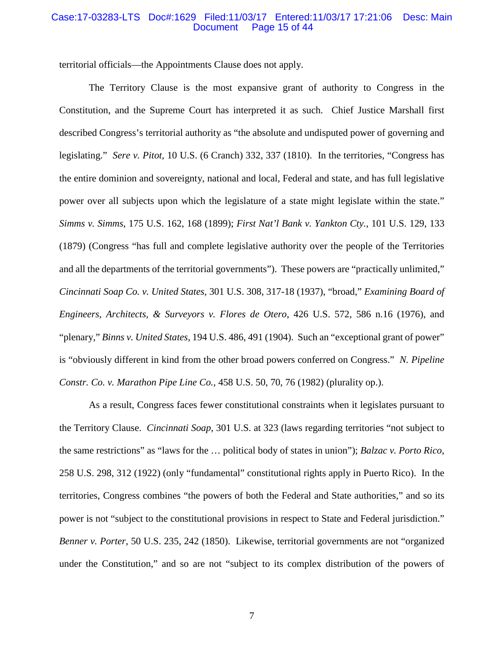#### Case:17-03283-LTS Doc#:1629 Filed:11/03/17 Entered:11/03/17 17:21:06 Desc: Main Page 15 of 44

territorial officials—the Appointments Clause does not apply.

The Territory Clause is the most expansive grant of authority to Congress in the Constitution, and the Supreme Court has interpreted it as such. Chief Justice Marshall first described Congress's territorial authority as "the absolute and undisputed power of governing and legislating." *Sere v. Pitot*, 10 U.S. (6 Cranch) 332, 337 (1810). In the territories, "Congress has the entire dominion and sovereignty, national and local, Federal and state, and has full legislative power over all subjects upon which the legislature of a state might legislate within the state." *Simms v. Simms*, 175 U.S. 162, 168 (1899); *First Nat'l Bank v. Yankton Cty.*, 101 U.S. 129, 133 (1879) (Congress "has full and complete legislative authority over the people of the Territories and all the departments of the territorial governments"). These powers are "practically unlimited," *Cincinnati Soap Co. v. United States*, 301 U.S. 308, 317-18 (1937), "broad," *Examining Board of Engineers, Architects, & Surveyors v. Flores de Otero*, 426 U.S. 572, 586 n.16 (1976), and "plenary," *Binns v. United States*, 194 U.S. 486, 491 (1904). Such an "exceptional grant of power" is "obviously different in kind from the other broad powers conferred on Congress." *N. Pipeline Constr. Co. v. Marathon Pipe Line Co.*, 458 U.S. 50, 70, 76 (1982) (plurality op.).

As a result, Congress faces fewer constitutional constraints when it legislates pursuant to the Territory Clause. *Cincinnati Soap*, 301 U.S. at 323 (laws regarding territories "not subject to the same restrictions" as "laws for the … political body of states in union"); *Balzac v. Porto Rico*, 258 U.S. 298, 312 (1922) (only "fundamental" constitutional rights apply in Puerto Rico). In the territories, Congress combines "the powers of both the Federal and State authorities," and so its power is not "subject to the constitutional provisions in respect to State and Federal jurisdiction." *Benner v. Porter*, 50 U.S. 235, 242 (1850). Likewise, territorial governments are not "organized under the Constitution," and so are not "subject to its complex distribution of the powers of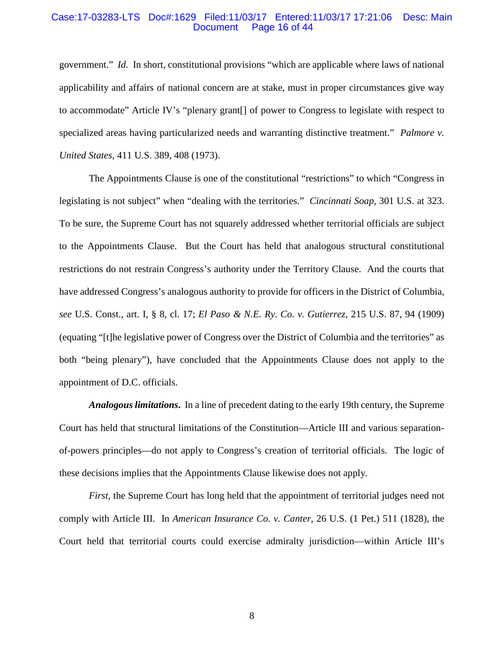#### Case:17-03283-LTS Doc#:1629 Filed:11/03/17 Entered:11/03/17 17:21:06 Desc: Main Page 16 of 44

government." *Id.* In short, constitutional provisions "which are applicable where laws of national applicability and affairs of national concern are at stake, must in proper circumstances give way to accommodate" Article IV's "plenary grant[] of power to Congress to legislate with respect to specialized areas having particularized needs and warranting distinctive treatment." *Palmore v. United States*, 411 U.S. 389, 408 (1973).

The Appointments Clause is one of the constitutional "restrictions" to which "Congress in legislating is not subject" when "dealing with the territories." *Cincinnati Soap*, 301 U.S. at 323. To be sure, the Supreme Court has not squarely addressed whether territorial officials are subject to the Appointments Clause. But the Court has held that analogous structural constitutional restrictions do not restrain Congress's authority under the Territory Clause. And the courts that have addressed Congress's analogous authority to provide for officers in the District of Columbia, *see* U.S. Const., art. I, § 8, cl. 17; *El Paso & N.E. Ry. Co. v. Gutierrez*, 215 U.S. 87, 94 (1909) (equating "[t]he legislative power of Congress over the District of Columbia and the territories" as both "being plenary"), have concluded that the Appointments Clause does not apply to the appointment of D.C. officials.

*Analogous limitations***.** In a line of precedent dating to the early 19th century, the Supreme Court has held that structural limitations of the Constitution—Article III and various separationof-powers principles—do not apply to Congress's creation of territorial officials. The logic of these decisions implies that the Appointments Clause likewise does not apply.

*First*, the Supreme Court has long held that the appointment of territorial judges need not comply with Article III. In *American Insurance Co. v. Canter*, 26 U.S. (1 Pet.) 511 (1828), the Court held that territorial courts could exercise admiralty jurisdiction—within Article III's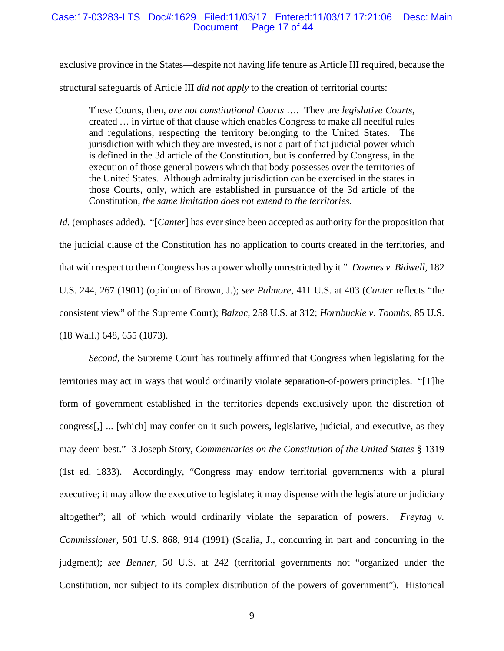#### Case:17-03283-LTS Doc#:1629 Filed:11/03/17 Entered:11/03/17 17:21:06 Desc: Main Page 17 of 44

exclusive province in the States—despite not having life tenure as Article III required, because the structural safeguards of Article III *did not apply* to the creation of territorial courts:

These Courts, then, *are not constitutional Courts* …. They are *legislative Courts*, created … in virtue of that clause which enables Congress to make all needful rules and regulations, respecting the territory belonging to the United States. The jurisdiction with which they are invested, is not a part of that judicial power which is defined in the 3d article of the Constitution, but is conferred by Congress, in the execution of those general powers which that body possesses over the territories of the United States. Although admiralty jurisdiction can be exercised in the states in those Courts, only, which are established in pursuance of the 3d article of the Constitution, *the same limitation does not extend to the territories*.

*Id.* (emphases added). "[*Canter*] has ever since been accepted as authority for the proposition that the judicial clause of the Constitution has no application to courts created in the territories, and that with respect to them Congress has a power wholly unrestricted by it." *Downes v. Bidwell*, 182 U.S. 244, 267 (1901) (opinion of Brown, J.); *see Palmore*, 411 U.S. at 403 (*Canter* reflects "the consistent view" of the Supreme Court); *Balzac*, 258 U.S. at 312; *Hornbuckle v. Toombs*, 85 U.S. (18 Wall.) 648, 655 (1873).

*Second*, the Supreme Court has routinely affirmed that Congress when legislating for the territories may act in ways that would ordinarily violate separation-of-powers principles. "[T]he form of government established in the territories depends exclusively upon the discretion of congress[,] ... [which] may confer on it such powers, legislative, judicial, and executive, as they may deem best." 3 Joseph Story, *Commentaries on the Constitution of the United States* § 1319 (1st ed. 1833). Accordingly, "Congress may endow territorial governments with a plural executive; it may allow the executive to legislate; it may dispense with the legislature or judiciary altogether"; all of which would ordinarily violate the separation of powers. *Freytag v. Commissioner*, 501 U.S. 868, 914 (1991) (Scalia, J., concurring in part and concurring in the judgment); *see Benner*, 50 U.S. at 242 (territorial governments not "organized under the Constitution, nor subject to its complex distribution of the powers of government"). Historical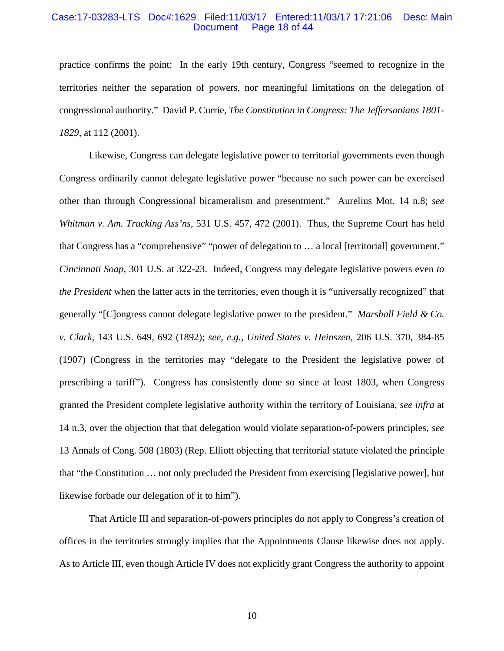#### Case:17-03283-LTS Doc#:1629 Filed:11/03/17 Entered:11/03/17 17:21:06 Desc: Main Page 18 of 44

practice confirms the point: In the early 19th century, Congress "seemed to recognize in the territories neither the separation of powers, nor meaningful limitations on the delegation of congressional authority." David P. Currie, *The Constitution in Congress: The Jeffersonians 1801- 1829*, at 112 (2001).

Likewise, Congress can delegate legislative power to territorial governments even though Congress ordinarily cannot delegate legislative power "because no such power can be exercised other than through Congressional bicameralism and presentment." Aurelius Mot. 14 n.8; *see Whitman v. Am. Trucking Ass'ns*, 531 U.S. 457, 472 (2001). Thus, the Supreme Court has held that Congress has a "comprehensive" "power of delegation to … a local [territorial] government." *Cincinnati Soap*, 301 U.S. at 322-23. Indeed, Congress may delegate legislative powers even *to the President* when the latter acts in the territories, even though it is "universally recognized" that generally "[C]ongress cannot delegate legislative power to the president." *Marshall Field & Co. v. Clark*, 143 U.S. 649, 692 (1892); *see, e.g.*, *United States v. Heinszen*, 206 U.S. 370, 384-85 (1907) (Congress in the territories may "delegate to the President the legislative power of prescribing a tariff"). Congress has consistently done so since at least 1803, when Congress granted the President complete legislative authority within the territory of Louisiana, *see infra* at 14 n.3, over the objection that that delegation would violate separation-of-powers principles, *see*  13 Annals of Cong. 508 (1803) (Rep. Elliott objecting that territorial statute violated the principle that "the Constitution … not only precluded the President from exercising [legislative power], but likewise forbade our delegation of it to him").

That Article III and separation-of-powers principles do not apply to Congress's creation of offices in the territories strongly implies that the Appointments Clause likewise does not apply. As to Article III, even though Article IV does not explicitly grant Congress the authority to appoint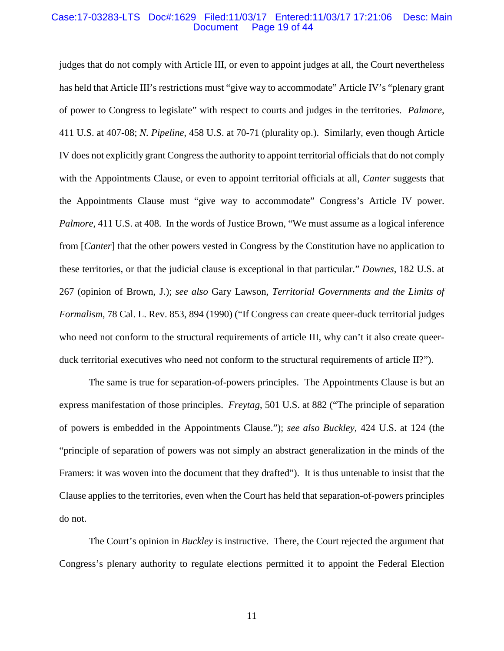#### Case:17-03283-LTS Doc#:1629 Filed:11/03/17 Entered:11/03/17 17:21:06 Desc: Main Page 19 of 44

judges that do not comply with Article III, or even to appoint judges at all, the Court nevertheless has held that Article III's restrictions must "give way to accommodate" Article IV's "plenary grant of power to Congress to legislate" with respect to courts and judges in the territories. *Palmore*, 411 U.S. at 407-08; *N. Pipeline*, 458 U.S. at 70-71 (plurality op.). Similarly, even though Article IV does not explicitly grant Congress the authority to appoint territorial officials that do not comply with the Appointments Clause, or even to appoint territorial officials at all, *Canter* suggests that the Appointments Clause must "give way to accommodate" Congress's Article IV power. *Palmore*, 411 U.S. at 408. In the words of Justice Brown, "We must assume as a logical inference from [*Canter*] that the other powers vested in Congress by the Constitution have no application to these territories, or that the judicial clause is exceptional in that particular." *Downes*, 182 U.S. at 267 (opinion of Brown, J.); *see also* Gary Lawson, *Territorial Governments and the Limits of Formalism*, 78 Cal. L. Rev. 853, 894 (1990) ("If Congress can create queer-duck territorial judges who need not conform to the structural requirements of article III, why can't it also create queerduck territorial executives who need not conform to the structural requirements of article II?").

The same is true for separation-of-powers principles. The Appointments Clause is but an express manifestation of those principles. *Freytag*, 501 U.S. at 882 ("The principle of separation of powers is embedded in the Appointments Clause."); *see also Buckley*, 424 U.S. at 124 (the "principle of separation of powers was not simply an abstract generalization in the minds of the Framers: it was woven into the document that they drafted"). It is thus untenable to insist that the Clause applies to the territories, even when the Court has held that separation-of-powers principles do not.

The Court's opinion in *Buckley* is instructive. There, the Court rejected the argument that Congress's plenary authority to regulate elections permitted it to appoint the Federal Election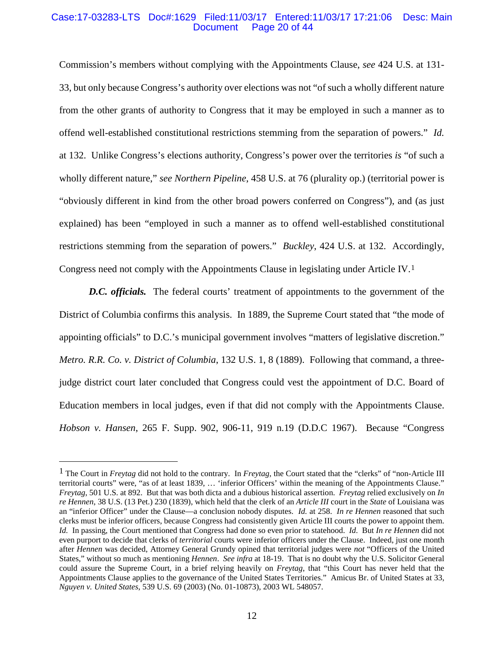#### Case:17-03283-LTS Doc#:1629 Filed:11/03/17 Entered:11/03/17 17:21:06 Desc: Main Page 20 of 44

Commission's members without complying with the Appointments Clause, *see* 424 U.S. at 131- 33, but only because Congress's authority over elections was not "of such a wholly different nature from the other grants of authority to Congress that it may be employed in such a manner as to offend well-established constitutional restrictions stemming from the separation of powers." *Id.*  at 132. Unlike Congress's elections authority, Congress's power over the territories *is* "of such a wholly different nature," *see Northern Pipeline*, 458 U.S. at 76 (plurality op.) (territorial power is "obviously different in kind from the other broad powers conferred on Congress"), and (as just explained) has been "employed in such a manner as to offend well-established constitutional restrictions stemming from the separation of powers." *Buckley*, 424 U.S. at 132. Accordingly, Congress need not comply with the Appointments Clause in legislating under Article IV.[1](#page-19-0)

*D.C. officials.* The federal courts' treatment of appointments to the government of the District of Columbia confirms this analysis. In 1889, the Supreme Court stated that "the mode of appointing officials" to D.C.'s municipal government involves "matters of legislative discretion." *Metro. R.R. Co. v. District of Columbia*, 132 U.S. 1, 8 (1889). Following that command, a threejudge district court later concluded that Congress could vest the appointment of D.C. Board of Education members in local judges, even if that did not comply with the Appointments Clause. *Hobson v. Hansen*, 265 F. Supp. 902, 906-11, 919 n.19 (D.D.C 1967). Because "Congress

<span id="page-19-0"></span> <sup>1</sup> The Court in *Freytag* did not hold to the contrary. In *Freytag*, the Court stated that the "clerks" of "non-Article III territorial courts" were, "as of at least 1839, … 'inferior Officers' within the meaning of the Appointments Clause." *Freytag*, 501 U.S. at 892. But that was both dicta and a dubious historical assertion. *Freytag* relied exclusively on *In re Hennen*, 38 U.S. (13 Pet.) 230 (1839), which held that the clerk of an *Article III* court in the *State* of Louisiana was an "inferior Officer" under the Clause—a conclusion nobody disputes. *Id.* at 258. *In re Hennen* reasoned that such clerks must be inferior officers, because Congress had consistently given Article III courts the power to appoint them. *Id.* In passing, the Court mentioned that Congress had done so even prior to statehood. *Id.* But *In re Hennen* did not even purport to decide that clerks of *territorial* courts were inferior officers under the Clause. Indeed, just one month after *Hennen* was decided, Attorney General Grundy opined that territorial judges were *not* "Officers of the United States," without so much as mentioning *Hennen*. *See infra* at 18-19. That is no doubt why the U.S. Solicitor General could assure the Supreme Court, in a brief relying heavily on *Freytag*, that "this Court has never held that the Appointments Clause applies to the governance of the United States Territories." Amicus Br. of United States at 33, *Nguyen v. United States*, 539 U.S. 69 (2003) (No. 01-10873), 2003 WL 548057.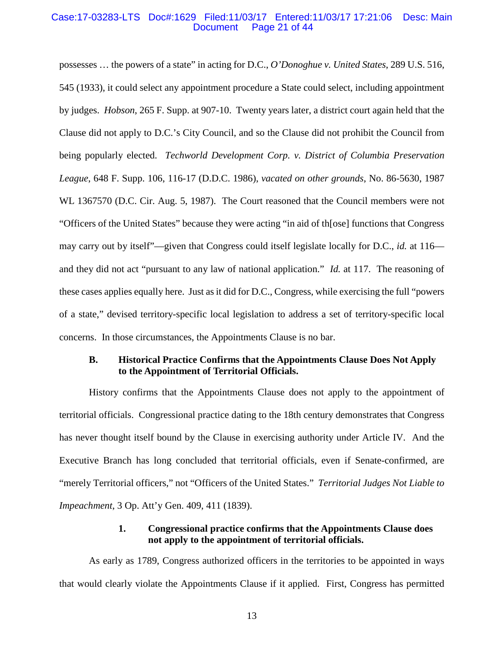#### Case:17-03283-LTS Doc#:1629 Filed:11/03/17 Entered:11/03/17 17:21:06 Desc: Main Page 21 of 44

possesses … the powers of a state" in acting for D.C., *O'Donoghue v. United States*, 289 U.S. 516, 545 (1933), it could select any appointment procedure a State could select, including appointment by judges. *Hobson*, 265 F. Supp. at 907-10. Twenty years later, a district court again held that the Clause did not apply to D.C.'s City Council, and so the Clause did not prohibit the Council from being popularly elected. *Techworld Development Corp. v. District of Columbia Preservation League*, 648 F. Supp. 106, 116-17 (D.D.C. 1986), *vacated on other grounds*, No. 86-5630, 1987 WL 1367570 (D.C. Cir. Aug. 5, 1987). The Court reasoned that the Council members were not "Officers of the United States" because they were acting "in aid of th[ose] functions that Congress may carry out by itself"—given that Congress could itself legislate locally for D.C., *id.* at 116 and they did not act "pursuant to any law of national application." *Id.* at 117. The reasoning of these cases applies equally here. Just as it did for D.C., Congress, while exercising the full "powers of a state," devised territory-specific local legislation to address a set of territory-specific local concerns. In those circumstances, the Appointments Clause is no bar.

## **B. Historical Practice Confirms that the Appointments Clause Does Not Apply to the Appointment of Territorial Officials.**

History confirms that the Appointments Clause does not apply to the appointment of territorial officials. Congressional practice dating to the 18th century demonstrates that Congress has never thought itself bound by the Clause in exercising authority under Article IV. And the Executive Branch has long concluded that territorial officials, even if Senate-confirmed, are "merely Territorial officers," not "Officers of the United States." *Territorial Judges Not Liable to Impeachment*, 3 Op. Att'y Gen. 409, 411 (1839).

## **1. Congressional practice confirms that the Appointments Clause does not apply to the appointment of territorial officials.**

As early as 1789, Congress authorized officers in the territories to be appointed in ways that would clearly violate the Appointments Clause if it applied. First, Congress has permitted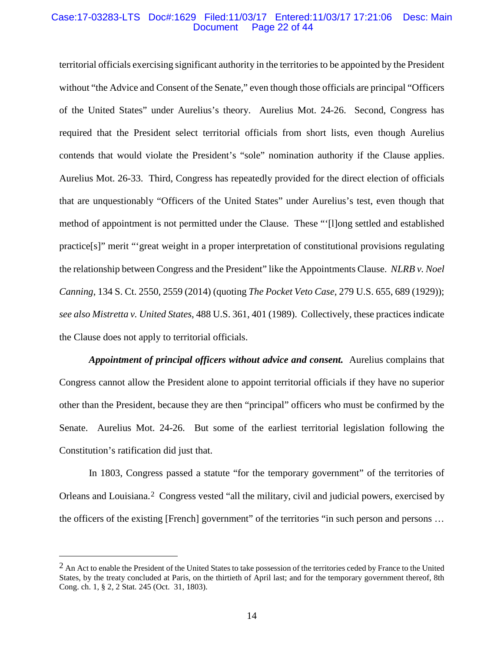#### Case:17-03283-LTS Doc#:1629 Filed:11/03/17 Entered:11/03/17 17:21:06 Desc: Main Page 22 of  $44$

territorial officials exercising significant authority in the territories to be appointed by the President without "the Advice and Consent of the Senate," even though those officials are principal "Officers" of the United States" under Aurelius's theory. Aurelius Mot. 24-26. Second, Congress has required that the President select territorial officials from short lists, even though Aurelius contends that would violate the President's "sole" nomination authority if the Clause applies. Aurelius Mot. 26-33. Third, Congress has repeatedly provided for the direct election of officials that are unquestionably "Officers of the United States" under Aurelius's test, even though that method of appointment is not permitted under the Clause. These "'[l]ong settled and established practice[s]" merit "'great weight in a proper interpretation of constitutional provisions regulating the relationship between Congress and the President" like the Appointments Clause. *NLRB v. Noel Canning*, 134 S. Ct. 2550, 2559 (2014) (quoting *The Pocket Veto Case*, 279 U.S. 655, 689 (1929)); *see also Mistretta v. United States*, 488 U.S. 361, 401 (1989). Collectively, these practices indicate the Clause does not apply to territorial officials.

*Appointment of principal officers without advice and consent.* Aurelius complains that Congress cannot allow the President alone to appoint territorial officials if they have no superior other than the President, because they are then "principal" officers who must be confirmed by the Senate. Aurelius Mot. 24-26. But some of the earliest territorial legislation following the Constitution's ratification did just that.

In 1803, Congress passed a statute "for the temporary government" of the territories of Orleans and Louisiana.[2](#page-21-0) Congress vested "all the military, civil and judicial powers, exercised by the officers of the existing [French] government" of the territories "in such person and persons …

<span id="page-21-0"></span> $<sup>2</sup>$  An Act to enable the President of the United States to take possession of the territories ceded by France to the United</sup> States, by the treaty concluded at Paris, on the thirtieth of April last; and for the temporary government thereof, 8th Cong. ch. 1, § 2, 2 Stat. 245 (Oct. 31, 1803).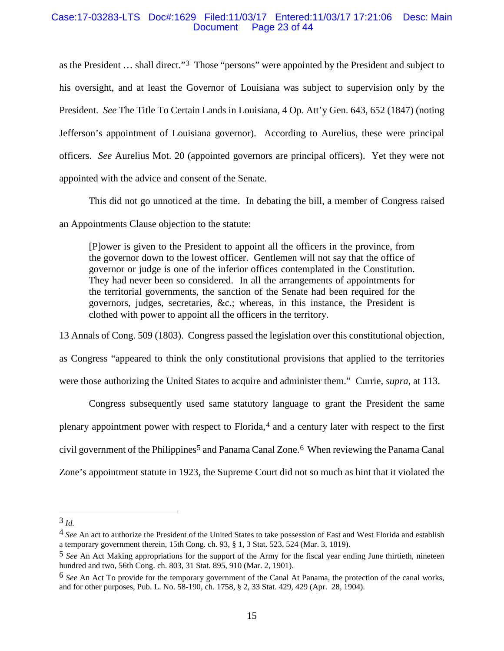## Case:17-03283-LTS Doc#:1629 Filed:11/03/17 Entered:11/03/17 17:21:06 Desc: Main Page 23 of 44

as the President … shall direct."[3](#page-22-0) Those "persons" were appointed by the President and subject to his oversight, and at least the Governor of Louisiana was subject to supervision only by the President. *See* The Title To Certain Lands in Louisiana, 4 Op. Att'y Gen. 643, 652 (1847) (noting Jefferson's appointment of Louisiana governor). According to Aurelius, these were principal officers. *See* Aurelius Mot. 20 (appointed governors are principal officers). Yet they were not appointed with the advice and consent of the Senate.

This did not go unnoticed at the time. In debating the bill, a member of Congress raised an Appointments Clause objection to the statute:

[P]ower is given to the President to appoint all the officers in the province, from the governor down to the lowest officer. Gentlemen will not say that the office of governor or judge is one of the inferior offices contemplated in the Constitution. They had never been so considered. In all the arrangements of appointments for the territorial governments, the sanction of the Senate had been required for the governors, judges, secretaries, &c.; whereas, in this instance, the President is clothed with power to appoint all the officers in the territory.

13 Annals of Cong. 509 (1803). Congress passed the legislation over this constitutional objection,

as Congress "appeared to think the only constitutional provisions that applied to the territories were those authorizing the United States to acquire and administer them." Currie, *supra*, at 113.

Congress subsequently used same statutory language to grant the President the same plenary appointment power with respect to Florida,  $4$  and a century later with respect to the first civil government of the Philippines<sup>[5](#page-22-2)</sup> and Panama Canal Zone.<sup>[6](#page-22-3)</sup> When reviewing the Panama Canal Zone's appointment statute in 1923, the Supreme Court did not so much as hint that it violated the

<span id="page-22-0"></span> <sup>3</sup> *Id.*

<span id="page-22-1"></span><sup>4</sup> *See* An act to authorize the President of the United States to take possession of East and West Florida and establish a temporary government therein, 15th Cong. ch. 93, § 1, 3 Stat. 523, 524 (Mar. 3, 1819).

<span id="page-22-2"></span><sup>5</sup> *See* An Act Making appropriations for the support of the Army for the fiscal year ending June thirtieth, nineteen hundred and two, 56th Cong. ch. 803, 31 Stat. 895, 910 (Mar. 2, 1901).

<span id="page-22-3"></span><sup>6</sup> *See* An Act To provide for the temporary government of the Canal At Panama, the protection of the canal works, and for other purposes, Pub. L. No. 58-190, ch. 1758, § 2, 33 Stat. 429, 429 (Apr. 28, 1904).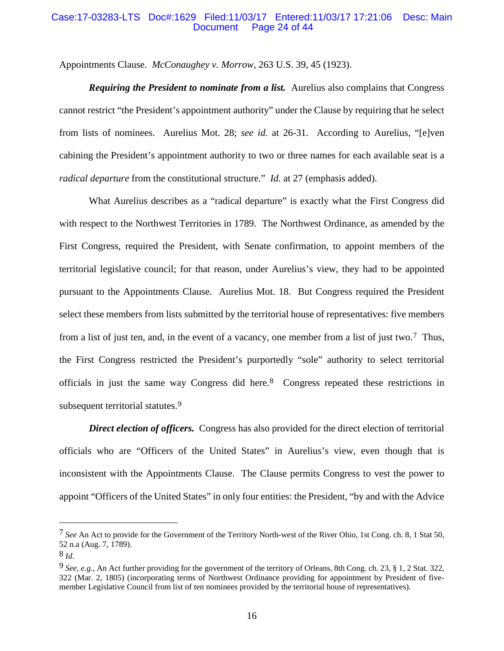#### Case:17-03283-LTS Doc#:1629 Filed:11/03/17 Entered:11/03/17 17:21:06 Desc: Main Page 24 of 44

Appointments Clause. *McConaughey v. Morrow*, 263 U.S. 39, 45 (1923).

*Requiring the President to nominate from a list.* Aurelius also complains that Congress cannot restrict "the President's appointment authority" under the Clause by requiring that he select from lists of nominees. Aurelius Mot. 28; *see id.* at 26-31. According to Aurelius, "[e]ven cabining the President's appointment authority to two or three names for each available seat is a *radical departure* from the constitutional structure." *Id.* at 27 (emphasis added).

What Aurelius describes as a "radical departure" is exactly what the First Congress did with respect to the Northwest Territories in 1789. The Northwest Ordinance, as amended by the First Congress, required the President, with Senate confirmation, to appoint members of the territorial legislative council; for that reason, under Aurelius's view, they had to be appointed pursuant to the Appointments Clause. Aurelius Mot. 18. But Congress required the President select these members from lists submitted by the territorial house of representatives: five members from a list of just ten, and, in the event of a vacancy, one member from a list of just two.[7](#page-23-0) Thus, the First Congress restricted the President's purportedly "sole" authority to select territorial officials in just the same way Congress did here.[8](#page-23-1) Congress repeated these restrictions in subsequent territorial statutes.<sup>[9](#page-23-2)</sup>

**Direct election of officers.** Congress has also provided for the direct election of territorial officials who are "Officers of the United States" in Aurelius's view, even though that is inconsistent with the Appointments Clause. The Clause permits Congress to vest the power to appoint "Officers of the United States" in only four entities: the President, "by and with the Advice

<span id="page-23-0"></span><sup>7</sup> *See* An Act to provide for the Government of the Territory North-west of the River Ohio, 1st Cong. ch. 8, 1 Stat 50, 52 n.a (Aug. 7, 1789).

<span id="page-23-1"></span><sup>8</sup> *Id.*

<span id="page-23-2"></span><sup>9</sup> *See, e.g.*, An Act further providing for the government of the territory of Orleans, 8th Cong. ch. 23, § 1, 2 Stat. 322, 322 (Mar. 2, 1805) (incorporating terms of Northwest Ordinance providing for appointment by President of fivemember Legislative Council from list of ten nominees provided by the territorial house of representatives).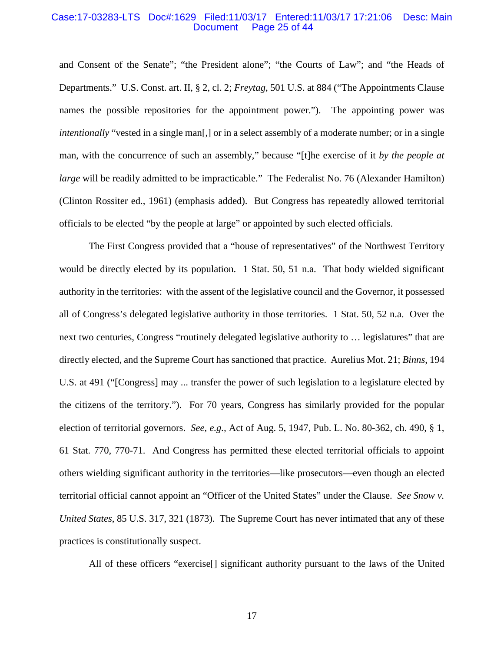#### Case:17-03283-LTS Doc#:1629 Filed:11/03/17 Entered:11/03/17 17:21:06 Desc: Main Page 25 of 44

and Consent of the Senate"; "the President alone"; "the Courts of Law"; and "the Heads of Departments." U.S. Const. art. II, § 2, cl. 2; *Freytag*, 501 U.S. at 884 ("The Appointments Clause names the possible repositories for the appointment power."). The appointing power was *intentionally* "vested in a single man<sup>[1]</sup>, or in a select assembly of a moderate number; or in a single man, with the concurrence of such an assembly," because "[t]he exercise of it *by the people at large* will be readily admitted to be impracticable." The Federalist No. 76 (Alexander Hamilton) (Clinton Rossiter ed., 1961) (emphasis added). But Congress has repeatedly allowed territorial officials to be elected "by the people at large" or appointed by such elected officials.

The First Congress provided that a "house of representatives" of the Northwest Territory would be directly elected by its population. 1 Stat. 50, 51 n.a. That body wielded significant authority in the territories: with the assent of the legislative council and the Governor, it possessed all of Congress's delegated legislative authority in those territories. 1 Stat. 50, 52 n.a. Over the next two centuries, Congress "routinely delegated legislative authority to … legislatures" that are directly elected, and the Supreme Court has sanctioned that practice. Aurelius Mot. 21; *Binns*, 194 U.S. at 491 ("[Congress] may ... transfer the power of such legislation to a legislature elected by the citizens of the territory."). For 70 years, Congress has similarly provided for the popular election of territorial governors. *See, e.g.,* Act of Aug. 5, 1947, Pub. L. No. 80-362, ch. 490, § 1, 61 Stat. 770, 770-71. And Congress has permitted these elected territorial officials to appoint others wielding significant authority in the territories—like prosecutors—even though an elected territorial official cannot appoint an "Officer of the United States" under the Clause. *See Snow v. United States*, 85 U.S. 317, 321 (1873). The Supreme Court has never intimated that any of these practices is constitutionally suspect.

All of these officers "exercise[] significant authority pursuant to the laws of the United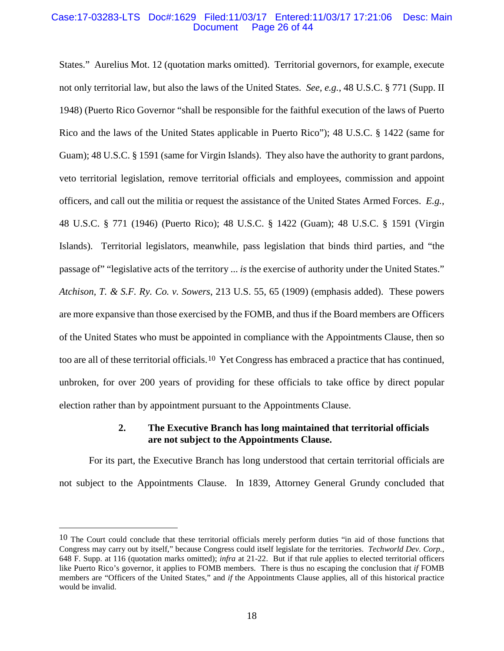#### Case:17-03283-LTS Doc#:1629 Filed:11/03/17 Entered:11/03/17 17:21:06 Desc: Main Page 26 of 44

States." Aurelius Mot. 12 (quotation marks omitted). Territorial governors, for example, execute not only territorial law, but also the laws of the United States. *See, e.g.*, 48 U.S.C. § 771 (Supp. II 1948) (Puerto Rico Governor "shall be responsible for the faithful execution of the laws of Puerto Rico and the laws of the United States applicable in Puerto Rico"); 48 U.S.C. § 1422 (same for Guam); 48 U.S.C. § 1591 (same for Virgin Islands). They also have the authority to grant pardons, veto territorial legislation, remove territorial officials and employees, commission and appoint officers, and call out the militia or request the assistance of the United States Armed Forces. *E.g.*, 48 U.S.C. § 771 (1946) (Puerto Rico); 48 U.S.C. § 1422 (Guam); 48 U.S.C. § 1591 (Virgin Islands). Territorial legislators, meanwhile, pass legislation that binds third parties, and "the passage of" "legislative acts of the territory ... *is* the exercise of authority under the United States." *Atchison, T. & S.F. Ry. Co. v. Sowers*, 213 U.S. 55, 65 (1909) (emphasis added). These powers are more expansive than those exercised by the FOMB, and thus if the Board members are Officers of the United States who must be appointed in compliance with the Appointments Clause, then so too are all of these territorial officials.[10](#page-25-0) Yet Congress has embraced a practice that has continued, unbroken, for over 200 years of providing for these officials to take office by direct popular election rather than by appointment pursuant to the Appointments Clause.

## **2. The Executive Branch has long maintained that territorial officials are not subject to the Appointments Clause.**

For its part, the Executive Branch has long understood that certain territorial officials are not subject to the Appointments Clause. In 1839, Attorney General Grundy concluded that

<span id="page-25-0"></span> $10$  The Court could conclude that these territorial officials merely perform duties "in aid of those functions that Congress may carry out by itself," because Congress could itself legislate for the territories. *Techworld Dev. Corp.*, 648 F. Supp. at 116 (quotation marks omitted); *infra* at 21-22. But if that rule applies to elected territorial officers like Puerto Rico's governor, it applies to FOMB members. There is thus no escaping the conclusion that *if* FOMB members are "Officers of the United States," and *if* the Appointments Clause applies, all of this historical practice would be invalid.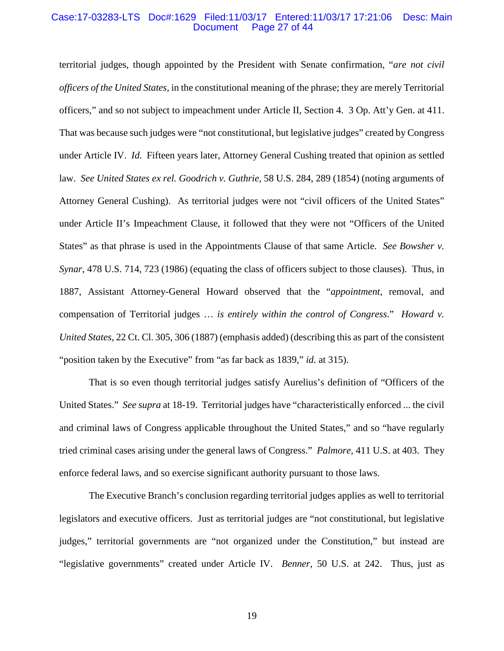#### Case:17-03283-LTS Doc#:1629 Filed:11/03/17 Entered:11/03/17 17:21:06 Desc: Main Page 27 of 44

territorial judges, though appointed by the President with Senate confirmation, "*are not civil officers of the United States,* in the constitutional meaning of the phrase; they are merely Territorial officers," and so not subject to impeachment under Article II, Section 4. 3 Op. Att'y Gen. at 411. That was because such judges were "not constitutional, but legislative judges" created by Congress under Article IV. *Id.* Fifteen years later, Attorney General Cushing treated that opinion as settled law. *See United States ex rel. Goodrich v. Guthrie*, 58 U.S. 284, 289 (1854) (noting arguments of Attorney General Cushing). As territorial judges were not "civil officers of the United States" under Article II's Impeachment Clause, it followed that they were not "Officers of the United States" as that phrase is used in the Appointments Clause of that same Article. *See Bowsher v. Synar*, 478 U.S. 714, 723 (1986) (equating the class of officers subject to those clauses). Thus, in 1887, Assistant Attorney-General Howard observed that the "*appointment*, removal, and compensation of Territorial judges … *is entirely within the control of Congress*." *Howard v. United States*, 22 Ct. Cl. 305, 306 (1887) (emphasis added) (describing this as part of the consistent "position taken by the Executive" from "as far back as 1839," *id.* at 315).

That is so even though territorial judges satisfy Aurelius's definition of "Officers of the United States." *See supra* at 18-19. Territorial judges have "characteristically enforced ... the civil and criminal laws of Congress applicable throughout the United States," and so "have regularly tried criminal cases arising under the general laws of Congress." *Palmore*, 411 U.S. at 403. They enforce federal laws, and so exercise significant authority pursuant to those laws.

The Executive Branch's conclusion regarding territorial judges applies as well to territorial legislators and executive officers. Just as territorial judges are "not constitutional, but legislative judges," territorial governments are "not organized under the Constitution," but instead are "legislative governments" created under Article IV. *Benner*, 50 U.S. at 242. Thus, just as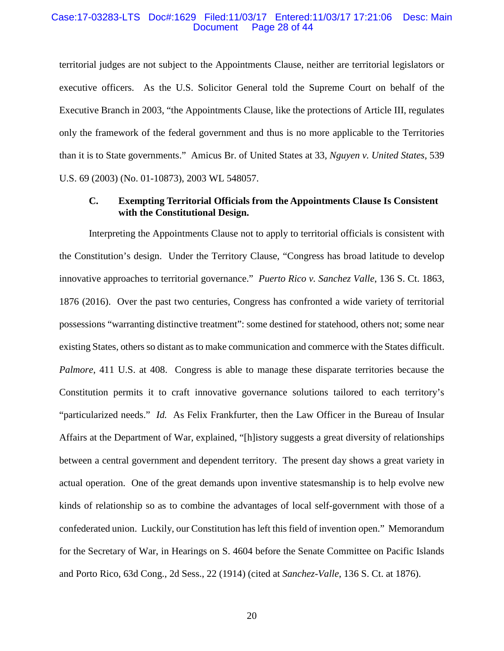#### Case:17-03283-LTS Doc#:1629 Filed:11/03/17 Entered:11/03/17 17:21:06 Desc: Main Page 28 of 44

territorial judges are not subject to the Appointments Clause, neither are territorial legislators or executive officers. As the U.S. Solicitor General told the Supreme Court on behalf of the Executive Branch in 2003, "the Appointments Clause, like the protections of Article III, regulates only the framework of the federal government and thus is no more applicable to the Territories than it is to State governments." Amicus Br. of United States at 33, *Nguyen v. United States*, 539 U.S. 69 (2003) (No. 01-10873), 2003 WL 548057.

## **C. Exempting Territorial Officials from the Appointments Clause Is Consistent with the Constitutional Design.**

Interpreting the Appointments Clause not to apply to territorial officials is consistent with the Constitution's design. Under the Territory Clause, "Congress has broad latitude to develop innovative approaches to territorial governance." *Puerto Rico v. Sanchez Valle*, 136 S. Ct. 1863, 1876 (2016). Over the past two centuries, Congress has confronted a wide variety of territorial possessions "warranting distinctive treatment": some destined for statehood, others not; some near existing States, others so distant as to make communication and commerce with the States difficult. *Palmore*, 411 U.S. at 408. Congress is able to manage these disparate territories because the Constitution permits it to craft innovative governance solutions tailored to each territory's "particularized needs." *Id.* As Felix Frankfurter, then the Law Officer in the Bureau of Insular Affairs at the Department of War, explained, "[h]istory suggests a great diversity of relationships between a central government and dependent territory. The present day shows a great variety in actual operation. One of the great demands upon inventive statesmanship is to help evolve new kinds of relationship so as to combine the advantages of local self-government with those of a confederated union. Luckily, our Constitution has left this field of invention open." Memorandum for the Secretary of War, in Hearings on S. 4604 before the Senate Committee on Pacific Islands and Porto Rico, 63d Cong., 2d Sess., 22 (1914) (cited at *Sanchez-Valle*, 136 S. Ct. at 1876).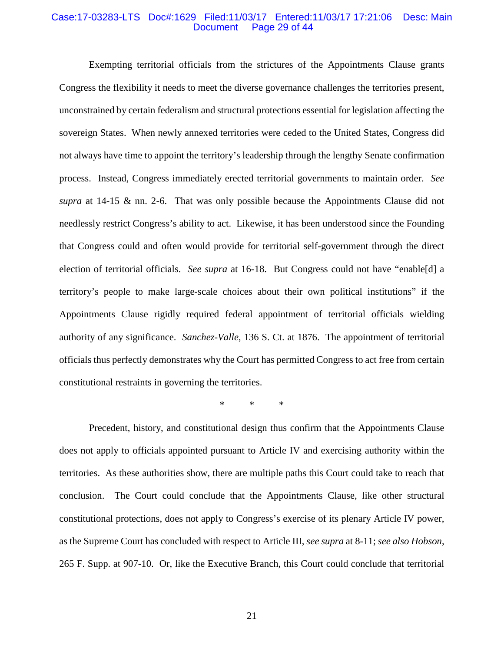#### Case:17-03283-LTS Doc#:1629 Filed:11/03/17 Entered:11/03/17 17:21:06 Desc: Main Page 29 of 44

Exempting territorial officials from the strictures of the Appointments Clause grants Congress the flexibility it needs to meet the diverse governance challenges the territories present, unconstrained by certain federalism and structural protections essential for legislation affecting the sovereign States. When newly annexed territories were ceded to the United States, Congress did not always have time to appoint the territory's leadership through the lengthy Senate confirmation process. Instead, Congress immediately erected territorial governments to maintain order. *See supra* at 14-15 & nn. 2-6. That was only possible because the Appointments Clause did not needlessly restrict Congress's ability to act. Likewise, it has been understood since the Founding that Congress could and often would provide for territorial self-government through the direct election of territorial officials. *See supra* at 16-18. But Congress could not have "enable[d] a territory's people to make large-scale choices about their own political institutions" if the Appointments Clause rigidly required federal appointment of territorial officials wielding authority of any significance. *Sanchez-Valle*, 136 S. Ct. at 1876. The appointment of territorial officials thus perfectly demonstrates why the Court has permitted Congress to act free from certain constitutional restraints in governing the territories.

\* \* \*

Precedent, history, and constitutional design thus confirm that the Appointments Clause does not apply to officials appointed pursuant to Article IV and exercising authority within the territories. As these authorities show, there are multiple paths this Court could take to reach that conclusion. The Court could conclude that the Appointments Clause, like other structural constitutional protections, does not apply to Congress's exercise of its plenary Article IV power, as the Supreme Court has concluded with respect to Article III, *see supra* at 8-11; *see also Hobson*, 265 F. Supp. at 907-10. Or, like the Executive Branch, this Court could conclude that territorial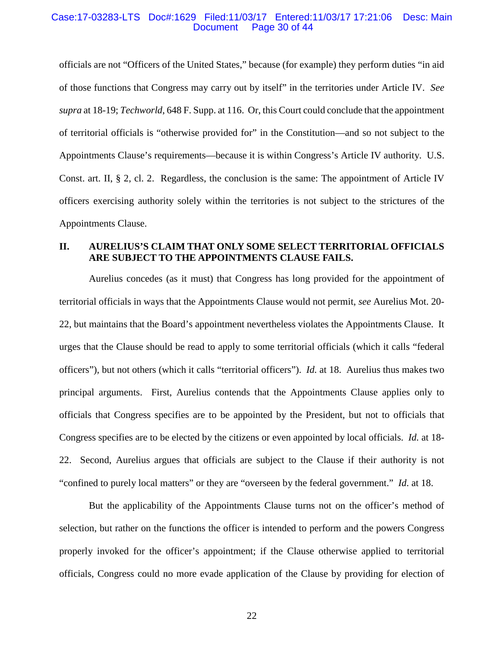#### Case:17-03283-LTS Doc#:1629 Filed:11/03/17 Entered:11/03/17 17:21:06 Desc: Main Page 30 of 44

officials are not "Officers of the United States," because (for example) they perform duties "in aid of those functions that Congress may carry out by itself" in the territories under Article IV. *See supra* at 18-19; *Techworld*, 648 F. Supp. at 116. Or, this Court could conclude that the appointment of territorial officials is "otherwise provided for" in the Constitution—and so not subject to the Appointments Clause's requirements—because it is within Congress's Article IV authority. U.S. Const. art. II, § 2, cl. 2. Regardless, the conclusion is the same: The appointment of Article IV officers exercising authority solely within the territories is not subject to the strictures of the Appointments Clause.

## **II. AURELIUS'S CLAIM THAT ONLY SOME SELECT TERRITORIAL OFFICIALS ARE SUBJECT TO THE APPOINTMENTS CLAUSE FAILS.**

Aurelius concedes (as it must) that Congress has long provided for the appointment of territorial officials in ways that the Appointments Clause would not permit, *see* Aurelius Mot. 20- 22, but maintains that the Board's appointment nevertheless violates the Appointments Clause. It urges that the Clause should be read to apply to some territorial officials (which it calls "federal officers"), but not others (which it calls "territorial officers"). *Id.* at 18. Aurelius thus makes two principal arguments. First, Aurelius contends that the Appointments Clause applies only to officials that Congress specifies are to be appointed by the President, but not to officials that Congress specifies are to be elected by the citizens or even appointed by local officials. *Id.* at 18- 22. Second, Aurelius argues that officials are subject to the Clause if their authority is not "confined to purely local matters" or they are "overseen by the federal government." *Id*. at 18.

But the applicability of the Appointments Clause turns not on the officer's method of selection, but rather on the functions the officer is intended to perform and the powers Congress properly invoked for the officer's appointment; if the Clause otherwise applied to territorial officials, Congress could no more evade application of the Clause by providing for election of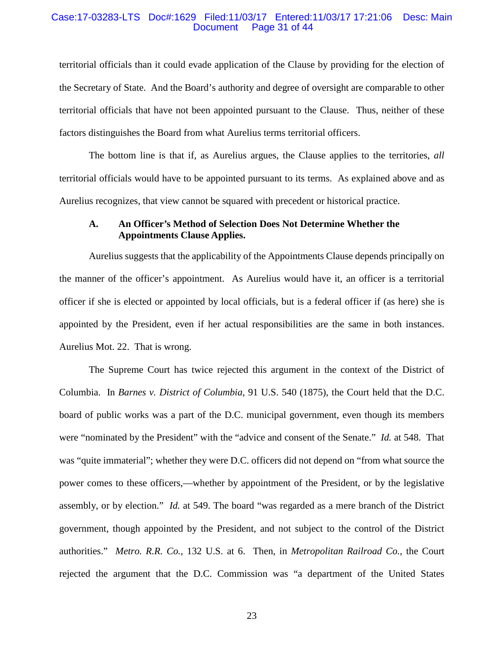#### Case:17-03283-LTS Doc#:1629 Filed:11/03/17 Entered:11/03/17 17:21:06 Desc: Main Page 31 of 44

territorial officials than it could evade application of the Clause by providing for the election of the Secretary of State. And the Board's authority and degree of oversight are comparable to other territorial officials that have not been appointed pursuant to the Clause. Thus, neither of these factors distinguishes the Board from what Aurelius terms territorial officers.

The bottom line is that if, as Aurelius argues, the Clause applies to the territories, *all* territorial officials would have to be appointed pursuant to its terms. As explained above and as Aurelius recognizes, that view cannot be squared with precedent or historical practice.

## **A. An Officer's Method of Selection Does Not Determine Whether the Appointments Clause Applies.**

Aurelius suggests that the applicability of the Appointments Clause depends principally on the manner of the officer's appointment. As Aurelius would have it, an officer is a territorial officer if she is elected or appointed by local officials, but is a federal officer if (as here) she is appointed by the President, even if her actual responsibilities are the same in both instances. Aurelius Mot. 22. That is wrong.

The Supreme Court has twice rejected this argument in the context of the District of Columbia. In *Barnes v. District of Columbia*, 91 U.S. 540 (1875), the Court held that the D.C. board of public works was a part of the D.C. municipal government, even though its members were "nominated by the President" with the "advice and consent of the Senate." *Id.* at 548. That was "quite immaterial"; whether they were D.C. officers did not depend on "from what source the power comes to these officers,—whether by appointment of the President, or by the legislative assembly, or by election." *Id.* at 549. The board "was regarded as a mere branch of the District government, though appointed by the President, and not subject to the control of the District authorities." *Metro. R.R. Co.*, 132 U.S. at 6. Then, in *Metropolitan Railroad Co.*, the Court rejected the argument that the D.C. Commission was "a department of the United States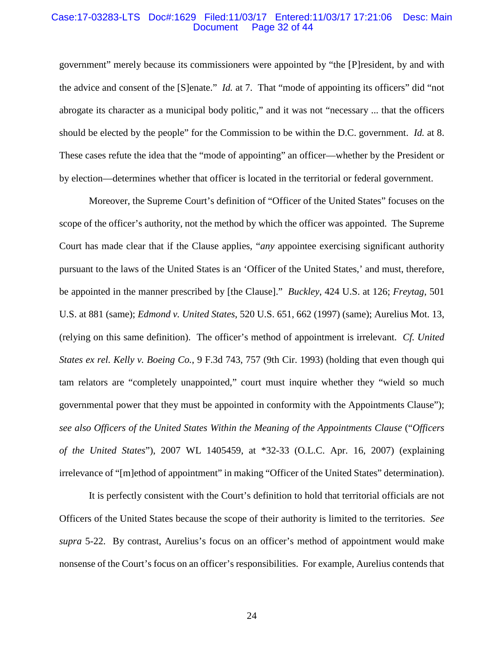#### Case:17-03283-LTS Doc#:1629 Filed:11/03/17 Entered:11/03/17 17:21:06 Desc: Main Page 32 of 44

government" merely because its commissioners were appointed by "the [P]resident, by and with the advice and consent of the [S]enate." *Id.* at 7. That "mode of appointing its officers" did "not abrogate its character as a municipal body politic," and it was not "necessary ... that the officers should be elected by the people" for the Commission to be within the D.C. government. *Id.* at 8. These cases refute the idea that the "mode of appointing" an officer—whether by the President or by election—determines whether that officer is located in the territorial or federal government.

Moreover, the Supreme Court's definition of "Officer of the United States" focuses on the scope of the officer's authority, not the method by which the officer was appointed. The Supreme Court has made clear that if the Clause applies, "*any* appointee exercising significant authority pursuant to the laws of the United States is an 'Officer of the United States,' and must, therefore, be appointed in the manner prescribed by [the Clause]." *Buckley*, 424 U.S. at 126; *Freytag*, 501 U.S. at 881 (same); *Edmond v. United States*, 520 U.S. 651, 662 (1997) (same); Aurelius Mot. 13, (relying on this same definition). The officer's method of appointment is irrelevant. *Cf. United States ex rel. Kelly v. Boeing Co.*, 9 F.3d 743, 757 (9th Cir. 1993) (holding that even though qui tam relators are "completely unappointed," court must inquire whether they "wield so much governmental power that they must be appointed in conformity with the Appointments Clause"); *see also Officers of the United States Within the Meaning of the Appointments Clause* ("*Officers of the United States*"), 2007 WL 1405459, at \*32-33 (O.L.C. Apr. 16, 2007) (explaining irrelevance of "[m]ethod of appointment" in making "Officer of the United States" determination).

It is perfectly consistent with the Court's definition to hold that territorial officials are not Officers of the United States because the scope of their authority is limited to the territories. *See supra* 5-22. By contrast, Aurelius's focus on an officer's method of appointment would make nonsense of the Court's focus on an officer's responsibilities. For example, Aurelius contends that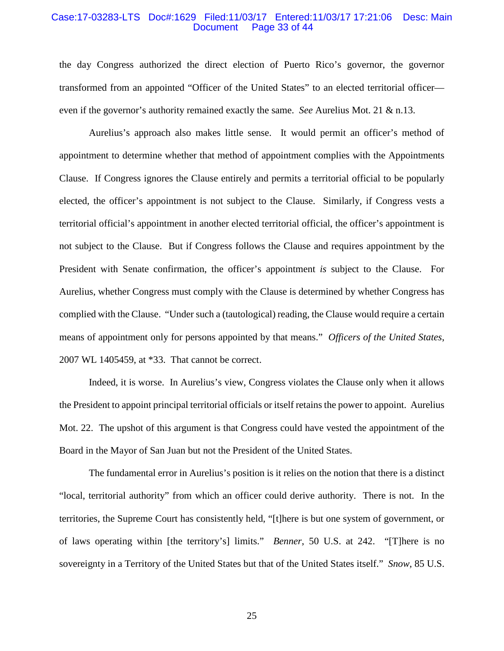#### Case:17-03283-LTS Doc#:1629 Filed:11/03/17 Entered:11/03/17 17:21:06 Desc: Main Page 33 of 44

the day Congress authorized the direct election of Puerto Rico's governor, the governor transformed from an appointed "Officer of the United States" to an elected territorial officer even if the governor's authority remained exactly the same. *See* Aurelius Mot. 21 & n.13.

Aurelius's approach also makes little sense. It would permit an officer's method of appointment to determine whether that method of appointment complies with the Appointments Clause. If Congress ignores the Clause entirely and permits a territorial official to be popularly elected, the officer's appointment is not subject to the Clause. Similarly, if Congress vests a territorial official's appointment in another elected territorial official, the officer's appointment is not subject to the Clause. But if Congress follows the Clause and requires appointment by the President with Senate confirmation, the officer's appointment *is* subject to the Clause. For Aurelius, whether Congress must comply with the Clause is determined by whether Congress has complied with the Clause. "Under such a (tautological) reading, the Clause would require a certain means of appointment only for persons appointed by that means." *Officers of the United States*, 2007 WL 1405459, at \*33. That cannot be correct.

Indeed, it is worse. In Aurelius's view, Congress violates the Clause only when it allows the President to appoint principal territorial officials or itself retains the power to appoint. Aurelius Mot. 22. The upshot of this argument is that Congress could have vested the appointment of the Board in the Mayor of San Juan but not the President of the United States.

The fundamental error in Aurelius's position is it relies on the notion that there is a distinct "local, territorial authority" from which an officer could derive authority. There is not. In the territories, the Supreme Court has consistently held, "[t]here is but one system of government, or of laws operating within [the territory's] limits." *Benner*, 50 U.S. at 242. "[T]here is no sovereignty in a Territory of the United States but that of the United States itself." *Snow*, 85 U.S.

25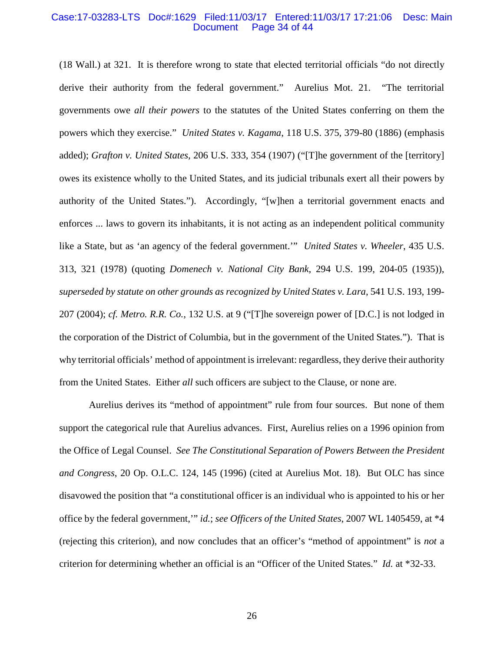#### Case:17-03283-LTS Doc#:1629 Filed:11/03/17 Entered:11/03/17 17:21:06 Desc: Main Page 34 of 44

(18 Wall.) at 321. It is therefore wrong to state that elected territorial officials "do not directly derive their authority from the federal government." Aurelius Mot. 21. "The territorial governments owe *all their powers* to the statutes of the United States conferring on them the powers which they exercise." *United States v. Kagama*, 118 U.S. 375, 379-80 (1886) (emphasis added); *Grafton v. United States*, 206 U.S. 333, 354 (1907) ("[T]he government of the [territory] owes its existence wholly to the United States, and its judicial tribunals exert all their powers by authority of the United States."). Accordingly, "[w]hen a territorial government enacts and enforces ... laws to govern its inhabitants, it is not acting as an independent political community like a State, but as 'an agency of the federal government.'" *United States v. Wheeler*, 435 U.S. 313, 321 (1978) (quoting *Domenech v. National City Bank*, 294 U.S. 199, 204-05 (1935)), *superseded by statute on other grounds as recognized by United States v. Lara*, 541 U.S. 193, 199- 207 (2004); *cf. Metro. R.R. Co.*, 132 U.S. at 9 ("[T]he sovereign power of [D.C.] is not lodged in the corporation of the District of Columbia, but in the government of the United States."). That is why territorial officials' method of appointment is irrelevant: regardless, they derive their authority from the United States. Either *all* such officers are subject to the Clause, or none are.

Aurelius derives its "method of appointment" rule from four sources. But none of them support the categorical rule that Aurelius advances. First, Aurelius relies on a 1996 opinion from the Office of Legal Counsel. *See The Constitutional Separation of Powers Between the President and Congress*, 20 Op. O.L.C. 124, 145 (1996) (cited at Aurelius Mot. 18). But OLC has since disavowed the position that "a constitutional officer is an individual who is appointed to his or her office by the federal government,'" *id.*; *see Officers of the United States*, 2007 WL 1405459, at \*4 (rejecting this criterion), and now concludes that an officer's "method of appointment" is *not* a criterion for determining whether an official is an "Officer of the United States." *Id.* at \*32-33.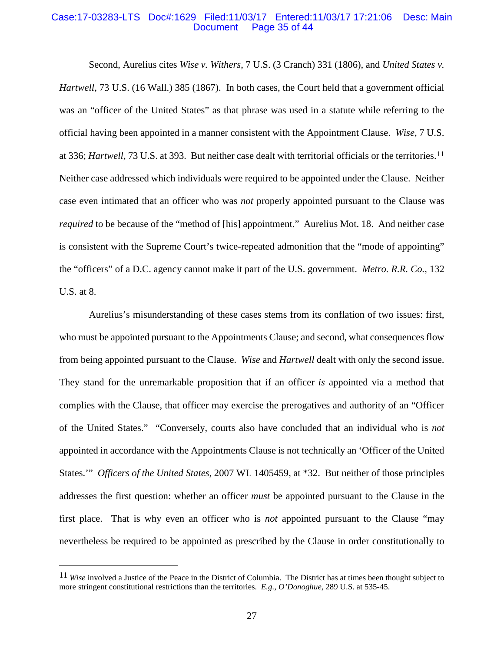#### Case:17-03283-LTS Doc#:1629 Filed:11/03/17 Entered:11/03/17 17:21:06 Desc: Main Page 35 of 44

Second, Aurelius cites *Wise v. Withers*, 7 U.S. (3 Cranch) 331 (1806), and *United States v. Hartwell*, 73 U.S. (16 Wall.) 385 (1867). In both cases, the Court held that a government official was an "officer of the United States" as that phrase was used in a statute while referring to the official having been appointed in a manner consistent with the Appointment Clause. *Wise*, 7 U.S. at 336; *Hartwell*, 73 U.S. at 393. But neither case dealt with territorial officials or the territories.[11](#page-34-0) Neither case addressed which individuals were required to be appointed under the Clause. Neither case even intimated that an officer who was *not* properly appointed pursuant to the Clause was *required* to be because of the "method of [his] appointment." Aurelius Mot. 18. And neither case is consistent with the Supreme Court's twice-repeated admonition that the "mode of appointing" the "officers" of a D.C. agency cannot make it part of the U.S. government. *Metro. R.R. Co.*, 132 U.S. at 8.

Aurelius's misunderstanding of these cases stems from its conflation of two issues: first, who must be appointed pursuant to the Appointments Clause; and second, what consequences flow from being appointed pursuant to the Clause. *Wise* and *Hartwell* dealt with only the second issue. They stand for the unremarkable proposition that if an officer *is* appointed via a method that complies with the Clause, that officer may exercise the prerogatives and authority of an "Officer of the United States." "Conversely, courts also have concluded that an individual who is *not* appointed in accordance with the Appointments Clause is not technically an 'Officer of the United States.'" *Officers of the United States*, 2007 WL 1405459, at \*32. But neither of those principles addresses the first question: whether an officer *must* be appointed pursuant to the Clause in the first place. That is why even an officer who is *not* appointed pursuant to the Clause "may nevertheless be required to be appointed as prescribed by the Clause in order constitutionally to

<span id="page-34-0"></span><sup>11</sup> *Wise* involved a Justice of the Peace in the District of Columbia. The District has at times been thought subject to more stringent constitutional restrictions than the territories. *E.g.*, *O'Donoghue*, 289 U.S. at 535-45.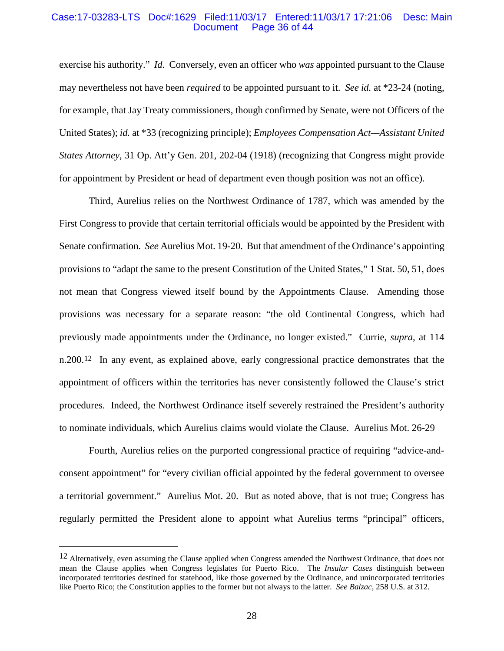#### Case:17-03283-LTS Doc#:1629 Filed:11/03/17 Entered:11/03/17 17:21:06 Desc: Main Page 36 of 44

exercise his authority." *Id.* Conversely, even an officer who *was* appointed pursuant to the Clause may nevertheless not have been *required* to be appointed pursuant to it. *See id.* at \*23-24 (noting, for example, that Jay Treaty commissioners, though confirmed by Senate, were not Officers of the United States); *id.* at \*33 (recognizing principle); *Employees Compensation Act—Assistant United States Attorney*, 31 Op. Att'y Gen. 201, 202-04 (1918) (recognizing that Congress might provide for appointment by President or head of department even though position was not an office).

Third, Aurelius relies on the Northwest Ordinance of 1787, which was amended by the First Congress to provide that certain territorial officials would be appointed by the President with Senate confirmation. *See* Aurelius Mot. 19-20. But that amendment of the Ordinance's appointing provisions to "adapt the same to the present Constitution of the United States," 1 Stat. 50, 51, does not mean that Congress viewed itself bound by the Appointments Clause. Amending those provisions was necessary for a separate reason: "the old Continental Congress, which had previously made appointments under the Ordinance, no longer existed." Currie, *supra*, at 114 n.200[.12](#page-35-0) In any event, as explained above, early congressional practice demonstrates that the appointment of officers within the territories has never consistently followed the Clause's strict procedures. Indeed, the Northwest Ordinance itself severely restrained the President's authority to nominate individuals, which Aurelius claims would violate the Clause. Aurelius Mot. 26-29

Fourth, Aurelius relies on the purported congressional practice of requiring "advice-andconsent appointment" for "every civilian official appointed by the federal government to oversee a territorial government." Aurelius Mot. 20. But as noted above, that is not true; Congress has regularly permitted the President alone to appoint what Aurelius terms "principal" officers,

<span id="page-35-0"></span><sup>&</sup>lt;sup>12</sup> Alternatively, even assuming the Clause applied when Congress amended the Northwest Ordinance, that does not mean the Clause applies when Congress legislates for Puerto Rico. The *Insular Cases* distinguish between incorporated territories destined for statehood, like those governed by the Ordinance, and unincorporated territories like Puerto Rico; the Constitution applies to the former but not always to the latter. *See Balzac*, 258 U.S. at 312.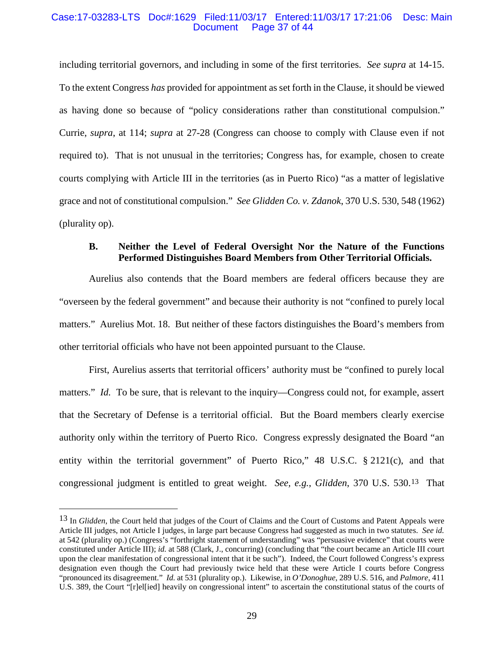#### Case:17-03283-LTS Doc#:1629 Filed:11/03/17 Entered:11/03/17 17:21:06 Desc: Main Page 37 of 44

including territorial governors, and including in some of the first territories. *See supra* at 14-15. To the extent Congress *has* provided for appointment as set forth in the Clause, it should be viewed as having done so because of "policy considerations rather than constitutional compulsion." Currie, *supra*, at 114; *supra* at 27-28 (Congress can choose to comply with Clause even if not required to). That is not unusual in the territories; Congress has, for example, chosen to create courts complying with Article III in the territories (as in Puerto Rico) "as a matter of legislative grace and not of constitutional compulsion." *See Glidden Co. v. Zdanok*, 370 U.S. 530, 548 (1962) (plurality op).

## **B. Neither the Level of Federal Oversight Nor the Nature of the Functions Performed Distinguishes Board Members from Other Territorial Officials.**

Aurelius also contends that the Board members are federal officers because they are "overseen by the federal government" and because their authority is not "confined to purely local matters." Aurelius Mot. 18. But neither of these factors distinguishes the Board's members from other territorial officials who have not been appointed pursuant to the Clause.

First, Aurelius asserts that territorial officers' authority must be "confined to purely local matters." *Id.* To be sure, that is relevant to the inquiry—Congress could not, for example, assert that the Secretary of Defense is a territorial official. But the Board members clearly exercise authority only within the territory of Puerto Rico. Congress expressly designated the Board "an entity within the territorial government" of Puerto Rico," 48 U.S.C. § 2121(c), and that congressional judgment is entitled to great weight. *See, e.g.*, *Glidden*, 370 U.S. 530.[13](#page-36-0) That

<span id="page-36-0"></span><sup>13</sup> In *Glidden*, the Court held that judges of the Court of Claims and the Court of Customs and Patent Appeals were Article III judges, not Article I judges, in large part because Congress had suggested as much in two statutes. *See id.* at 542 (plurality op.) (Congress's "forthright statement of understanding" was "persuasive evidence" that courts were constituted under Article III); *id.* at 588 (Clark, J., concurring) (concluding that "the court became an Article III court upon the clear manifestation of congressional intent that it be such"). Indeed, the Court followed Congress's express designation even though the Court had previously twice held that these were Article I courts before Congress "pronounced its disagreement." *Id.* at 531 (plurality op.). Likewise, in *O'Donoghue*, 289 U.S. 516, and *Palmore*, 411 U.S. 389, the Court "[r]el[ied] heavily on congressional intent" to ascertain the constitutional status of the courts of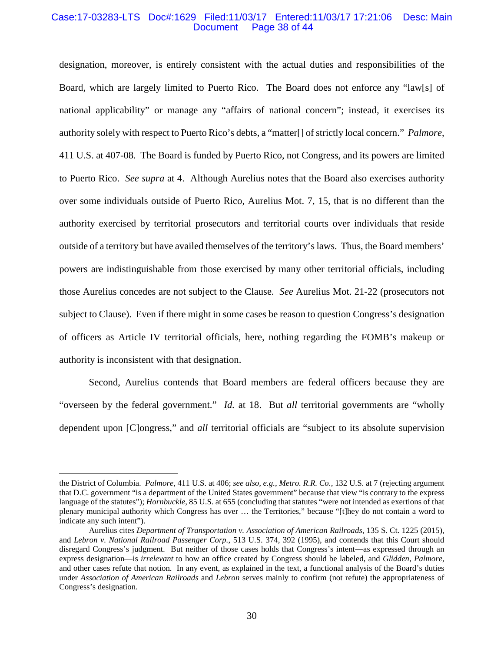#### Case:17-03283-LTS Doc#:1629 Filed:11/03/17 Entered:11/03/17 17:21:06 Desc: Main Page 38 of 44

designation, moreover, is entirely consistent with the actual duties and responsibilities of the Board, which are largely limited to Puerto Rico. The Board does not enforce any "law[s] of national applicability" or manage any "affairs of national concern"; instead, it exercises its authority solely with respect to Puerto Rico's debts, a "matter[] of strictly local concern." *Palmore*, 411 U.S. at 407-08*.* The Board is funded by Puerto Rico, not Congress, and its powers are limited to Puerto Rico. *See supra* at 4. Although Aurelius notes that the Board also exercises authority over some individuals outside of Puerto Rico, Aurelius Mot. 7, 15, that is no different than the authority exercised by territorial prosecutors and territorial courts over individuals that reside outside of a territory but have availed themselves of the territory's laws. Thus, the Board members' powers are indistinguishable from those exercised by many other territorial officials, including those Aurelius concedes are not subject to the Clause. *See* Aurelius Mot. 21-22 (prosecutors not subject to Clause). Even if there might in some cases be reason to question Congress's designation of officers as Article IV territorial officials, here, nothing regarding the FOMB's makeup or authority is inconsistent with that designation.

Second, Aurelius contends that Board members are federal officers because they are "overseen by the federal government." *Id.* at 18. But *all* territorial governments are "wholly dependent upon [C]ongress," and *all* territorial officials are "subject to its absolute supervision

the District of Columbia. *Palmore*, 411 U.S. at 406; *see also, e.g.*, *Metro. R.R. Co.*, 132 U.S. at 7 (rejecting argument that D.C. government "is a department of the United States government" because that view "is contrary to the express language of the statutes"); *Hornbuckle*, 85 U.S. at 655 (concluding that statutes "were not intended as exertions of that plenary municipal authority which Congress has over … the Territories," because "[t]hey do not contain a word to indicate any such intent").

Aurelius cites *Department of Transportation v. Association of American Railroads*, 135 S. Ct. 1225 (2015), and *Lebron v. National Railroad Passenger Corp.*, 513 U.S. 374, 392 (1995), and contends that this Court should disregard Congress's judgment. But neither of those cases holds that Congress's intent—as expressed through an express designation—is *irrelevant* to how an office created by Congress should be labeled, and *Glidden*, *Palmore*, and other cases refute that notion. In any event, as explained in the text, a functional analysis of the Board's duties under *Association of American Railroads* and *Lebron* serves mainly to confirm (not refute) the appropriateness of Congress's designation.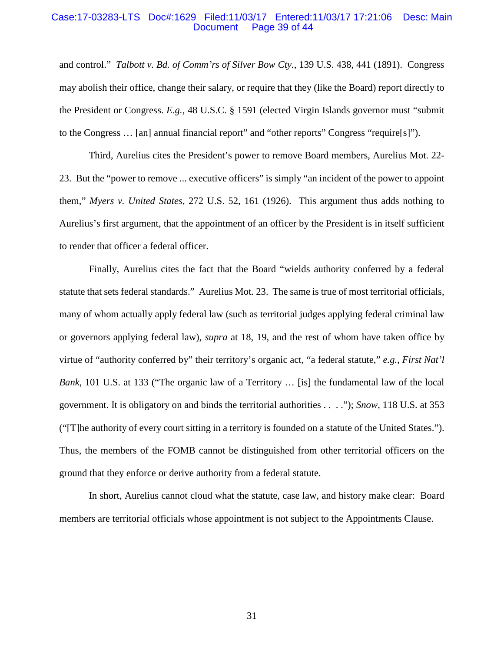#### Case:17-03283-LTS Doc#:1629 Filed:11/03/17 Entered:11/03/17 17:21:06 Desc: Main Page 39 of 44

and control." *Talbott v. Bd. of Comm'rs of Silver Bow Cty.*, 139 U.S. 438, 441 (1891). Congress may abolish their office, change their salary, or require that they (like the Board) report directly to the President or Congress. *E.g.*, 48 U.S.C. § 1591 (elected Virgin Islands governor must "submit to the Congress … [an] annual financial report" and "other reports" Congress "require[s]").

Third, Aurelius cites the President's power to remove Board members, Aurelius Mot. 22- 23. But the "power to remove ... executive officers" is simply "an incident of the power to appoint them," *Myers v. United States*, 272 U.S. 52, 161 (1926). This argument thus adds nothing to Aurelius's first argument, that the appointment of an officer by the President is in itself sufficient to render that officer a federal officer.

Finally, Aurelius cites the fact that the Board "wields authority conferred by a federal statute that sets federal standards." Aurelius Mot. 23. The same is true of most territorial officials, many of whom actually apply federal law (such as territorial judges applying federal criminal law or governors applying federal law), *supra* at 18, 19, and the rest of whom have taken office by virtue of "authority conferred by" their territory's organic act, "a federal statute," *e.g.*, *First Nat'l Bank*, 101 U.S. at 133 ("The organic law of a Territory … [is] the fundamental law of the local government. It is obligatory on and binds the territorial authorities . . . ."); *Snow*, 118 U.S. at 353 ("[T]he authority of every court sitting in a territory is founded on a statute of the United States."). Thus, the members of the FOMB cannot be distinguished from other territorial officers on the ground that they enforce or derive authority from a federal statute.

In short, Aurelius cannot cloud what the statute, case law, and history make clear: Board members are territorial officials whose appointment is not subject to the Appointments Clause.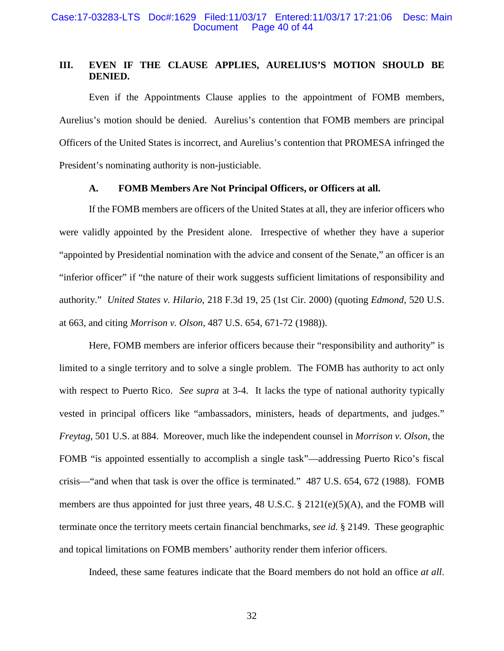# **III. EVEN IF THE CLAUSE APPLIES, AURELIUS'S MOTION SHOULD BE DENIED.**

Even if the Appointments Clause applies to the appointment of FOMB members, Aurelius's motion should be denied. Aurelius's contention that FOMB members are principal Officers of the United States is incorrect, and Aurelius's contention that PROMESA infringed the President's nominating authority is non-justiciable.

## **A. FOMB Members Are Not Principal Officers, or Officers at all.**

If the FOMB members are officers of the United States at all, they are inferior officers who were validly appointed by the President alone. Irrespective of whether they have a superior "appointed by Presidential nomination with the advice and consent of the Senate," an officer is an "inferior officer" if "the nature of their work suggests sufficient limitations of responsibility and authority." *United States v. Hilario*, 218 F.3d 19, 25 (1st Cir. 2000) (quoting *Edmond*, 520 U.S. at 663, and citing *Morrison v. Olson*, 487 U.S. 654, 671-72 (1988)).

Here, FOMB members are inferior officers because their "responsibility and authority" is limited to a single territory and to solve a single problem. The FOMB has authority to act only with respect to Puerto Rico. *See supra* at 3-4. It lacks the type of national authority typically vested in principal officers like "ambassadors, ministers, heads of departments, and judges." *Freytag*, 501 U.S. at 884. Moreover, much like the independent counsel in *Morrison v. Olson*, the FOMB "is appointed essentially to accomplish a single task"—addressing Puerto Rico's fiscal crisis—"and when that task is over the office is terminated." 487 U.S. 654, 672 (1988). FOMB members are thus appointed for just three years, 48 U.S.C. § 2121(e)(5)(A), and the FOMB will terminate once the territory meets certain financial benchmarks, *see id.* § 2149. These geographic and topical limitations on FOMB members' authority render them inferior officers.

Indeed, these same features indicate that the Board members do not hold an office *at all*.

32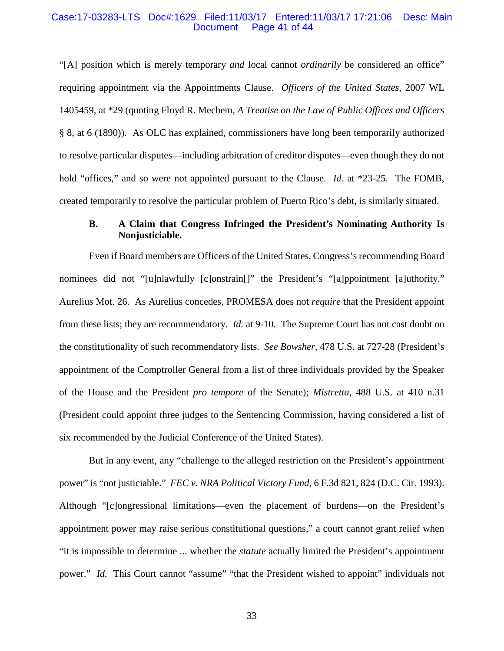#### Case:17-03283-LTS Doc#:1629 Filed:11/03/17 Entered:11/03/17 17:21:06 Desc: Main Page 41 of 44

"[A] position which is merely temporary *and* local cannot *ordinarily* be considered an office" requiring appointment via the Appointments Clause. *Officers of the United States*, 2007 WL 1405459, at \*29 (quoting Floyd R. Mechem, *A Treatise on the Law of Public Offices and Officers* § 8, at 6 (1890)). As OLC has explained, commissioners have long been temporarily authorized to resolve particular disputes—including arbitration of creditor disputes—even though they do not hold "offices," and so were not appointed pursuant to the Clause. *Id.* at \*23-25. The FOMB, created temporarily to resolve the particular problem of Puerto Rico's debt, is similarly situated.

## **B. A Claim that Congress Infringed the President's Nominating Authority Is Nonjusticiable.**

Even if Board members are Officers of the United States, Congress's recommending Board nominees did not "[u]nlawfully [c]onstrain[]" the President's "[a]ppointment [a]uthority." Aurelius Mot. 26. As Aurelius concedes, PROMESA does not *require* that the President appoint from these lists; they are recommendatory. *Id.* at 9-10. The Supreme Court has not cast doubt on the constitutionality of such recommendatory lists. *See Bowsher*, 478 U.S. at 727-28 (President's appointment of the Comptroller General from a list of three individuals provided by the Speaker of the House and the President *pro tempore* of the Senate); *Mistretta*, 488 U.S. at 410 n.31 (President could appoint three judges to the Sentencing Commission, having considered a list of six recommended by the Judicial Conference of the United States).

But in any event, any "challenge to the alleged restriction on the President's appointment power" is "not justiciable." *FEC v. NRA Political Victory Fund*, 6 F.3d 821, 824 (D.C. Cir. 1993). Although "[c]ongressional limitations—even the placement of burdens—on the President's appointment power may raise serious constitutional questions," a court cannot grant relief when "it is impossible to determine ... whether the *statute* actually limited the President's appointment power." *Id.* This Court cannot "assume" "that the President wished to appoint" individuals not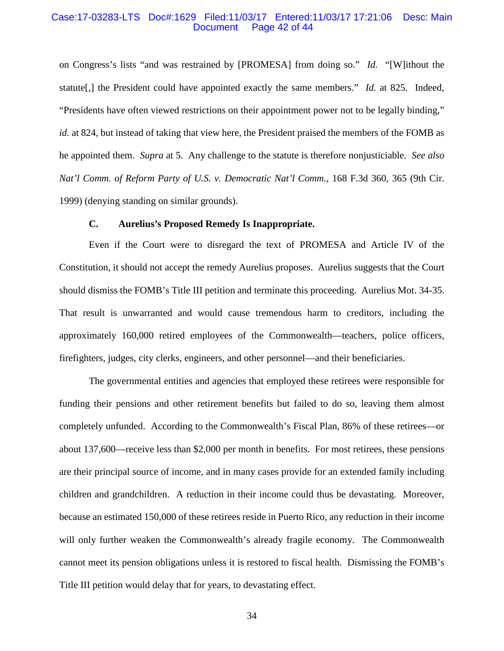#### Case:17-03283-LTS Doc#:1629 Filed:11/03/17 Entered:11/03/17 17:21:06 Desc: Main Page 42 of 44

on Congress's lists "and was restrained by [PROMESA] from doing so." *Id.* "[W]ithout the statute[,] the President could have appointed exactly the same members." *Id.* at 825. Indeed, "Presidents have often viewed restrictions on their appointment power not to be legally binding," *id.* at 824, but instead of taking that view here, the President praised the members of the FOMB as he appointed them. *Supra* at 5. Any challenge to the statute is therefore nonjusticiable. *See also Nat'l Comm. of Reform Party of U.S. v. Democratic Nat'l Comm.*, 168 F.3d 360, 365 (9th Cir. 1999) (denying standing on similar grounds).

#### **C. Aurelius's Proposed Remedy Is Inappropriate.**

Even if the Court were to disregard the text of PROMESA and Article IV of the Constitution, it should not accept the remedy Aurelius proposes. Aurelius suggests that the Court should dismiss the FOMB's Title III petition and terminate this proceeding. Aurelius Mot. 34-35. That result is unwarranted and would cause tremendous harm to creditors, including the approximately 160,000 retired employees of the Commonwealth—teachers, police officers, firefighters, judges, city clerks, engineers, and other personnel—and their beneficiaries.

The governmental entities and agencies that employed these retirees were responsible for funding their pensions and other retirement benefits but failed to do so, leaving them almost completely unfunded. According to the Commonwealth's Fiscal Plan, 86% of these retirees—or about 137,600—receive less than \$2,000 per month in benefits. For most retirees, these pensions are their principal source of income, and in many cases provide for an extended family including children and grandchildren. A reduction in their income could thus be devastating. Moreover, because an estimated 150,000 of these retirees reside in Puerto Rico, any reduction in their income will only further weaken the Commonwealth's already fragile economy. The Commonwealth cannot meet its pension obligations unless it is restored to fiscal health. Dismissing the FOMB's Title III petition would delay that for years, to devastating effect.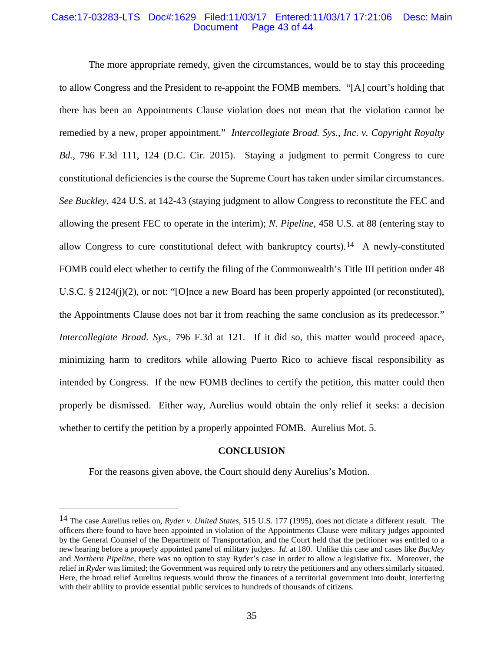#### Case:17-03283-LTS Doc#:1629 Filed:11/03/17 Entered:11/03/17 17:21:06 Desc: Main Page 43 of 44

The more appropriate remedy, given the circumstances, would be to stay this proceeding to allow Congress and the President to re-appoint the FOMB members. "[A] court's holding that there has been an Appointments Clause violation does not mean that the violation cannot be remedied by a new, proper appointment." *Intercollegiate Broad. Sys., Inc. v. Copyright Royalty Bd.*, 796 F.3d 111, 124 (D.C. Cir. 2015). Staying a judgment to permit Congress to cure constitutional deficiencies is the course the Supreme Court has taken under similar circumstances. *See Buckley*, 424 U.S. at 142-43 (staying judgment to allow Congress to reconstitute the FEC and allowing the present FEC to operate in the interim); *N. Pipeline*, 458 U.S. at 88 (entering stay to allow Congress to cure constitutional defect with bankruptcy courts).[14](#page-42-0) A newly-constituted FOMB could elect whether to certify the filing of the Commonwealth's Title III petition under 48 U.S.C. § 2124(j)(2), or not: "[O]nce a new Board has been properly appointed (or reconstituted), the Appointments Clause does not bar it from reaching the same conclusion as its predecessor." *Intercollegiate Broad. Sys.*, 796 F.3d at 121. If it did so, this matter would proceed apace, minimizing harm to creditors while allowing Puerto Rico to achieve fiscal responsibility as intended by Congress. If the new FOMB declines to certify the petition, this matter could then properly be dismissed. Either way, Aurelius would obtain the only relief it seeks: a decision whether to certify the petition by a properly appointed FOMB. Aurelius Mot. 5.

#### **CONCLUSION**

For the reasons given above, the Court should deny Aurelius's Motion.

<span id="page-42-0"></span><sup>14</sup> The case Aurelius relies on, *Ryder v. United States*, 515 U.S. 177 (1995), does not dictate a different result. The officers there found to have been appointed in violation of the Appointments Clause were military judges appointed by the General Counsel of the Department of Transportation, and the Court held that the petitioner was entitled to a new hearing before a properly appointed panel of military judges. *Id.* at 180. Unlike this case and cases like *Buckley*  and *Northern Pipeline*, there was no option to stay Ryder's case in order to allow a legislative fix. Moreover, the relief in *Ryder* was limited; the Government was required only to retry the petitioners and any others similarly situated. Here, the broad relief Aurelius requests would throw the finances of a territorial government into doubt, interfering with their ability to provide essential public services to hundreds of thousands of citizens.